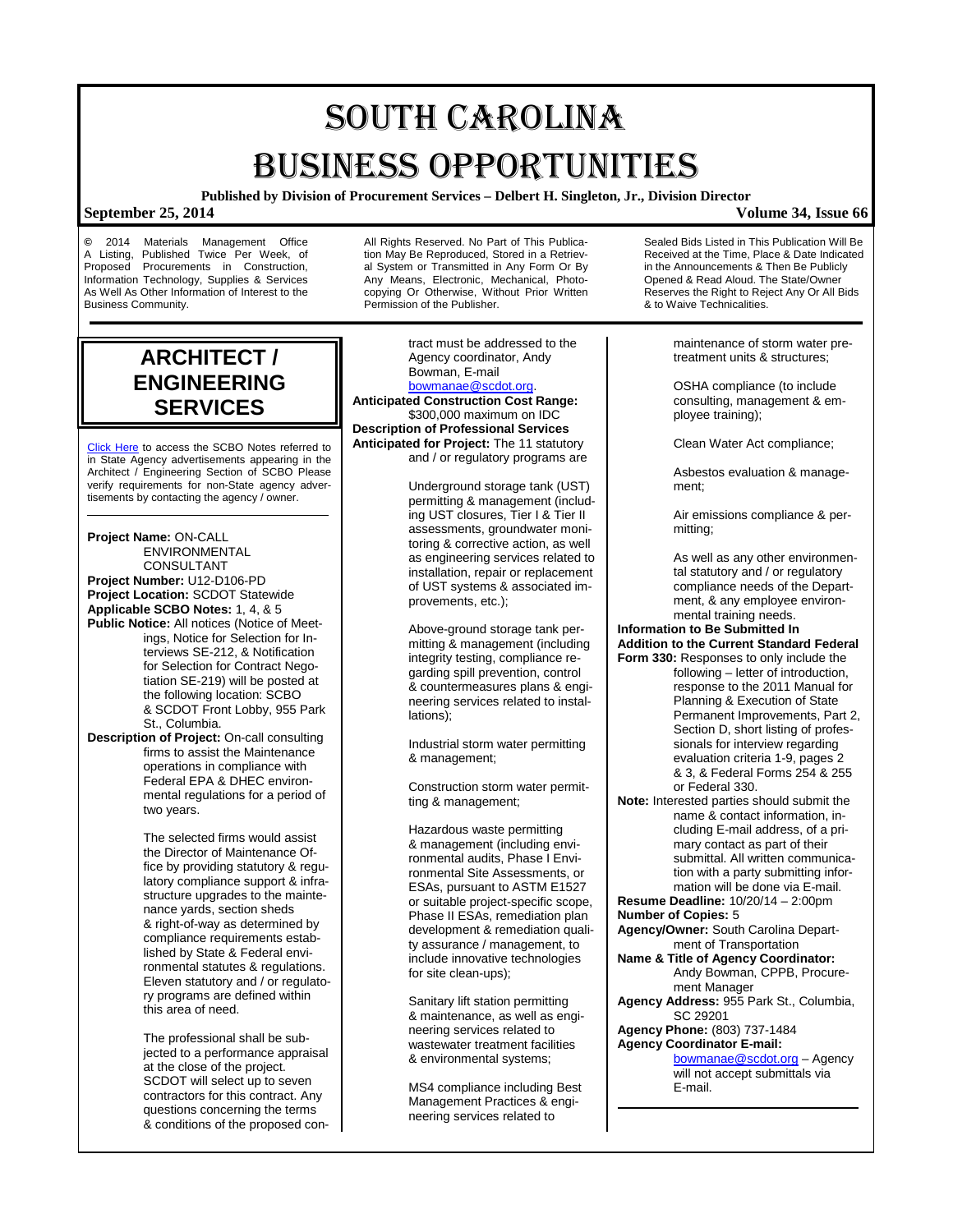# SOUTH CAROLINA BUSINESS OPPORTUNITIES

**Published by Division of Procurement Services – Delbert H. Singleton, Jr., Division Director**

**©** 2014 Materials Management Office A Listing, Published Twice Per Week, of Proposed Procurements in Construction. Procurements in Construction, Information Technology, Supplies & Services As Well As Other Information of Interest to the Business Community.

All Rights Reserved. No Part of This Publication May Be Reproduced, Stored in a Retrieval System or Transmitted in Any Form Or By Any Means, Electronic, Mechanical, Photocopying Or Otherwise, Without Prior Written Permission of the Publisher.

**ARCHITECT / ENGINEERING SERVICES**

[Click Here](http://www.mmo.sc.gov/PS/general/scbo/SCBO_Notes_060512.pdf) to access the SCBO Notes referred to in State Agency advertisements appearing in the Architect / Engineering Section of SCBO Please verify requirements for non-State agency advertisements by contacting the agency / owner.

**Project Name:** ON-CALL **ENVIRONMENTAL** CONSULTANT **Project Number:** U12-D106-PD **Project Location:** SCDOT Statewide **Applicable SCBO Notes:** 1, 4, & 5 **Public Notice:** All notices (Notice of Meetings, Notice for Selection for Interviews SE-212, & Notification for Selection for Contract Negotiation SE-219) will be posted at the following location: SCBO & SCDOT Front Lobby, 955 Park St., Columbia.

**Description of Project:** On-call consulting firms to assist the Maintenance operations in compliance with Federal EPA & DHEC environmental regulations for a period of two years.

> The selected firms would assist the Director of Maintenance Office by providing statutory & regulatory compliance support & infrastructure upgrades to the maintenance yards, section sheds & right-of-way as determined by compliance requirements established by State & Federal environmental statutes & regulations. Eleven statutory and / or regulatory programs are defined within this area of need.

The professional shall be subjected to a performance appraisal at the close of the project. SCDOT will select up to seven contractors for this contract. Any questions concerning the terms & conditions of the proposed con-

Agency coordinator, Andy Bowman, E-mail [bowmanae@scdot.org.](mailto:bowmanae@scdot.org) **Anticipated Construction Cost Range:** \$300,000 maximum on IDC **Description of Professional Services Anticipated for Project:** The 11 statutory

tract must be addressed to the

Underground storage tank (UST) permitting & management (including UST closures, Tier I & Tier II assessments, groundwater monitoring & corrective action, as well as engineering services related to installation, repair or replacement of UST systems & associated improvements, etc.);

and / or regulatory programs are

Above-ground storage tank permitting & management (including integrity testing, compliance regarding spill prevention, control & countermeasures plans & engineering services related to installations);

Industrial storm water permitting & management;

Construction storm water permitting & management;

Hazardous waste permitting & management (including environmental audits, Phase I Environmental Site Assessments, or ESAs, pursuant to ASTM E1527 or suitable project-specific scope, Phase II ESAs, remediation plan development & remediation quality assurance / management, to include innovative technologies for site clean-ups);

Sanitary lift station permitting & maintenance, as well as engineering services related to wastewater treatment facilities & environmental systems;

MS4 compliance including Best Management Practices & engineering services related to

Sealed Bids Listed in This Publication Will Be Received at the Time, Place & Date Indicated in the Announcements & Then Be Publicly Opened & Read Aloud. The State/Owner Reserves the Right to Reject Any Or All Bids & to Waive Technicalities.

> maintenance of storm water pretreatment units & structures;

OSHA compliance (to include consulting, management & employee training);

Clean Water Act compliance;

Asbestos evaluation & management;

Air emissions compliance & permitting;

As well as any other environmental statutory and / or regulatory compliance needs of the Department, & any employee environmental training needs.

### **Information to Be Submitted In Addition to the Current Standard Federal**

- **Form 330:** Responses to only include the following – letter of introduction, response to the 2011 Manual for Planning & Execution of State Permanent Improvements, Part 2, Section D, short listing of professionals for interview regarding evaluation criteria 1-9, pages 2 & 3, & Federal Forms 254 & 255 or Federal 330.
- **Note:** Interested parties should submit the name & contact information, including E-mail address, of a primary contact as part of their submittal. All written communication with a party submitting information will be done via E-mail.
- **Resume Deadline:** 10/20/14 2:00pm **Number of Copies:** 5
- **Agency/Owner:** South Carolina Department of Transportation
- **Name & Title of Agency Coordinator:** Andy Bowman, CPPB, Procurement Manager
- **Agency Address:** 955 Park St., Columbia, SC 29201

#### **Agency Phone:** (803) 737-1484 **Agency Coordinator E-mail:**

[bowmanae@scdot.org](mailto:bowmanae@scdot.org) – Agency will not accept submittals via E-mail.

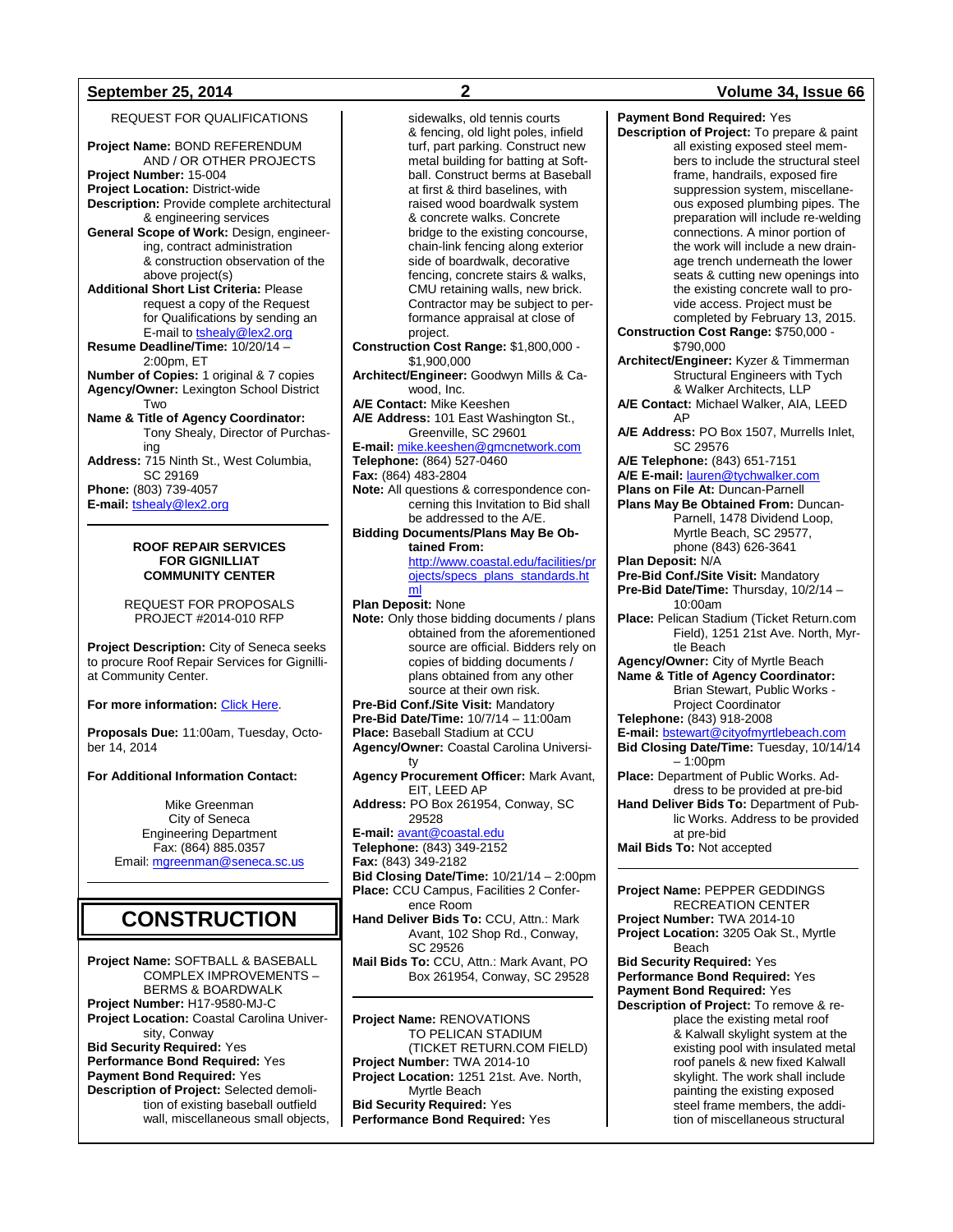### **September 25, 2014 2 Volume 34, Issue 66**

REQUEST FOR QUALIFICATIONS

**Project Name:** BOND REFERENDUM AND / OR OTHER PROJECTS **Project Number:** 15-004 **Project Location:** District-wide **Description:** Provide complete architectural & engineering services **General Scope of Work:** Design, engineering, contract administration & construction observation of the above project(s) **Additional Short List Criteria:** Please request a copy of the Request for Qualifications by sending an E-mail to **tshealy@lex2.org Resume Deadline/Time:** 10/20/14 – 2:00pm, ET **Number of Copies:** 1 original & 7 copies **Agency/Owner:** Lexington School District Two **Name & Title of Agency Coordinator:** Tony Shealy, Director of Purchasing **Address:** 715 Ninth St., West Columbia, SC 29169 **Phone:** (803) 739-4057 **E-mail:** [tshealy@lex2.org](mailto:tshealy@lex2.org)

#### **ROOF REPAIR SERVICES FOR GIGNILLIAT COMMUNITY CENTER**

REQUEST FOR PROPOSALS PROJECT #2014-010 RFP

**Project Description:** City of Seneca seeks to procure Roof Repair Services for Gignilliat Community Center.

#### **For more information:** [Click Here.](http://www.seneca.sc.us/Business/CurrentBidProposal.aspx)

**Proposals Due:** 11:00am, Tuesday, October 14, 2014

#### **For Additional Information Contact:**

Mike Greenman City of Seneca Engineering Department Fax: (864) 885.0357 Email: [mgreenman@seneca.sc.us](mailto:mgreenman@seneca.sc.us)

## **CONSTRUCTION**

**Project Name:** SOFTBALL & BASEBALL COMPLEX IMPROVEMENTS – BERMS & BOARDWALK **Project Number:** H17-9580-MJ-C **Project Location:** Coastal Carolina University, Conway **Bid Security Required:** Yes **Performance Bond Required:** Yes **Payment Bond Required:** Yes **Description of Project:** Selected demolition of existing baseball outfield wall, miscellaneous small objects,

sidewalks, old tennis courts & fencing, old light poles, infield turf, part parking. Construct new metal building for batting at Softball. Construct berms at Baseball at first & third baselines, with raised wood boardwalk system & concrete walks. Concrete bridge to the existing concourse, chain-link fencing along exterior side of boardwalk, decorative fencing, concrete stairs & walks, CMU retaining walls, new brick. Contractor may be subject to performance appraisal at close of project. **Construction Cost Range:** \$1,800,000 - \$1,900,000 **Architect/Engineer:** Goodwyn Mills & Cawood, Inc. **A/E Contact:** Mike Keeshen **A/E Address:** 101 East Washington St., Greenville, SC 29601 **E-mail:** [mike.keeshen@gmcnetwork.com](mailto:mike.keeshen@gmcnetwork.com) **Telephone:** (864) 527-0460 **Fax:** (864) 483-2804 **Note:** All questions & correspondence concerning this Invitation to Bid shall be addressed to the A/E. **Bidding Documents/Plans May Be Obtained From:** [http://www.coastal.edu/facilities/pr](http://www.coastal.edu/facilities/projects/specs_plans_standards.html) [ojects/specs\\_plans\\_standards.ht](http://www.coastal.edu/facilities/projects/specs_plans_standards.html) [ml](http://www.coastal.edu/facilities/projects/specs_plans_standards.html) **Plan Deposit:** None **Note:** Only those bidding documents / plans obtained from the aforementioned source are official. Bidders rely on copies of bidding documents / plans obtained from any other source at their own risk. **Pre-Bid Conf./Site Visit:** Mandatory **Pre-Bid Date/Time:** 10/7/14 – 11:00am **Place:** Baseball Stadium at CCU **Agency/Owner:** Coastal Carolina University **Agency Procurement Officer:** Mark Avant, EIT, LEED AP **Address:** PO Box 261954, Conway, SC 29528 **E-mail:** [avant@coastal.edu](mailto:avant@coastal.edu) **Telephone:** (843) 349-2152 **Fax:** (843) 349-2182 **Bid Closing Date/Time:** 10/21/14 – 2:00pm **Place:** CCU Campus, Facilities 2 Conference Room **Hand Deliver Bids To:** CCU, Attn.: Mark Avant, 102 Shop Rd., Conway, SC 29526 **Mail Bids To:** CCU, Attn.: Mark Avant, PO Box 261954, Conway, SC 29528 **Project Name:** RENOVATIONS TO PELICAN STADIUM

(TICKET RETURN.COM FIELD) **Project Number:** TWA 2014-10 **Project Location:** 1251 21st. Ave. North, Myrtle Beach **Bid Security Required:** Yes **Performance Bond Required:** Yes

**Payment Bond Required:** Yes **Description of Project:** To prepare & paint all existing exposed steel members to include the structural steel frame, handrails, exposed fire suppression system, miscellaneous exposed plumbing pipes. The preparation will include re-welding connections. A minor portion of the work will include a new drainage trench underneath the lower seats & cutting new openings into the existing concrete wall to provide access. Project must be completed by February 13, 2015. **Construction Cost Range:** \$750,000 - \$790,000 **Architect/Engineer:** Kyzer & Timmerman Structural Engineers with Tych & Walker Architects, LLP **A/E Contact:** Michael Walker, AIA, LEED AP **A/E Address:** PO Box 1507, Murrells Inlet, SC 29576 **A/E Telephone:** (843) 651-7151 **A/E E-mail:** [lauren@tychwalker.com](mailto:lauren@tychwalker.com) **Plans on File At:** Duncan-Parnell **Plans May Be Obtained From:** Duncan-Parnell, 1478 Dividend Loop, Myrtle Beach, SC 29577, phone (843) 626-3641 **Plan Deposit:** N/A **Pre-Bid Conf./Site Visit:** Mandatory **Pre-Bid Date/Time:** Thursday, 10/2/14 – 10:00am **Place:** Pelican Stadium (Ticket Return.com Field), 1251 21st Ave. North, Myrtle Beach **Agency/Owner:** City of Myrtle Beach **Name & Title of Agency Coordinator:** Brian Stewart, Public Works - Project Coordinator **Telephone:** (843) 918-2008 **E-mail:** [bstewart@cityofmyrtlebeach.com](mailto:bstewart@cityofmyrtlebeach.com) **Bid Closing Date/Time:** Tuesday, 10/14/14  $-1:00$ pm **Place:** Department of Public Works. Address to be provided at pre-bid **Hand Deliver Bids To:** Department of Public Works. Address to be provided at pre-bid **Mail Bids To:** Not accepted **Project Name:** PEPPER GEDDINGS RECREATION CENTER **Project Number:** TWA 2014-10 **Project Location:** 3205 Oak St., Myrtle

Beach

**Bid Security Required:** Yes **Performance Bond Required:** Yes **Payment Bond Required:** Yes **Description of Project:** To remove & replace the existing metal roof & Kalwall skylight system at the existing pool with insulated metal roof panels & new fixed Kalwall skylight. The work shall include painting the existing exposed steel frame members, the addition of miscellaneous structural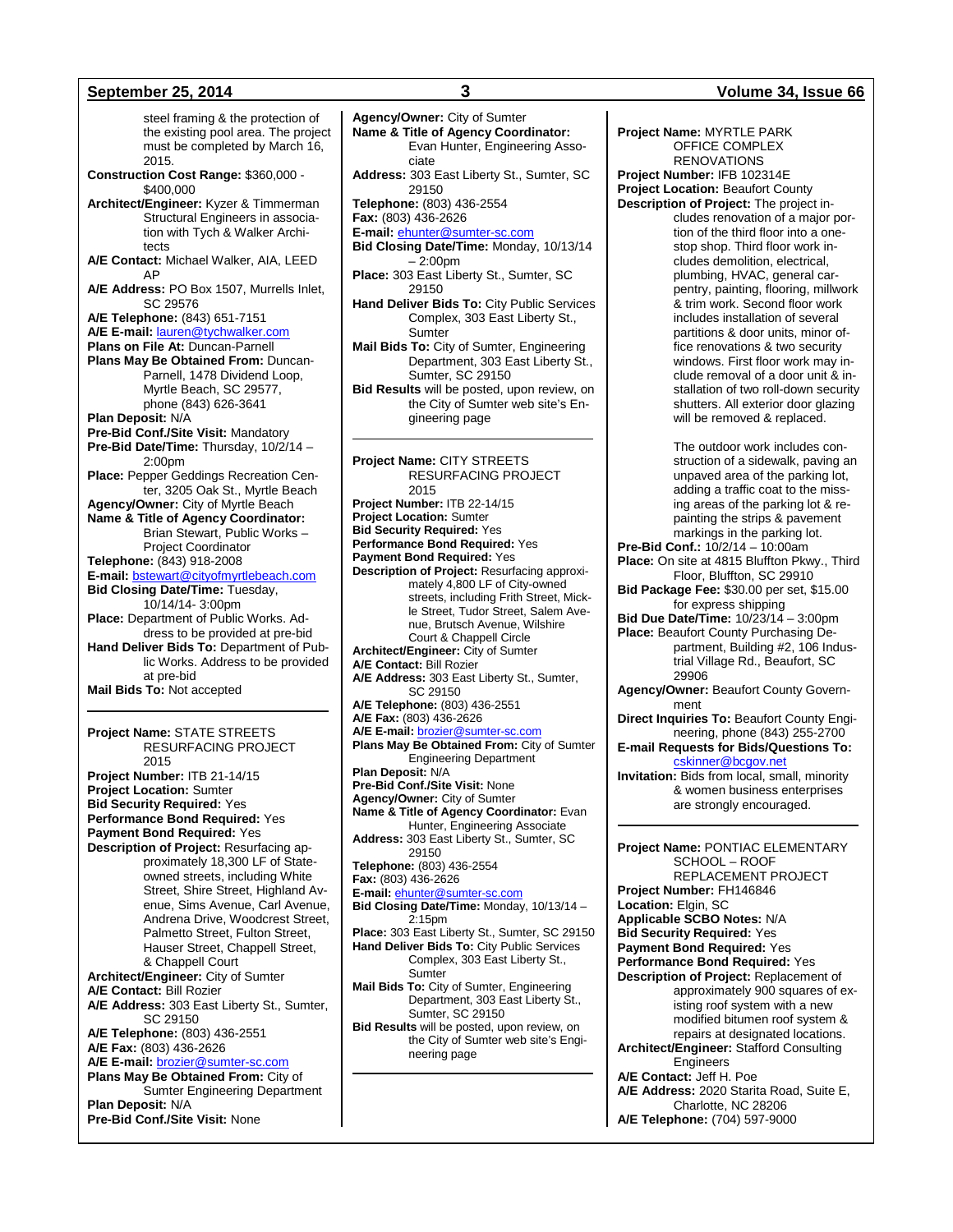steel framing & the protection of the existing pool area. The project must be completed by March 16, 2015. **Construction Cost Range:** \$360,000 - \$400,000 **Architect/Engineer:** Kyzer & Timmerman Structural Engineers in association with Tych & Walker Architects **A/E Contact:** Michael Walker, AIA, LEED AP **A/E Address:** PO Box 1507, Murrells Inlet, SC 29576 **A/E Telephone:** (843) 651-7151 **A/E E-mail:** [lauren@tychwalker.com](mailto:lauren@tychwalker.com) **Plans on File At:** Duncan-Parnell **Plans May Be Obtained From:** Duncan-Parnell, 1478 Dividend Loop, Myrtle Beach, SC 29577, phone (843) 626-3641 **Plan Deposit:** N/A **Pre-Bid Conf./Site Visit:** Mandatory **Pre-Bid Date/Time:** Thursday, 10/2/14 – 2:00pm **Place:** Pepper Geddings Recreation Center, 3205 Oak St., Myrtle Beach **Agency/Owner:** City of Myrtle Beach **Name & Title of Agency Coordinator:** Brian Stewart, Public Works – Project Coordinator **Telephone:** (843) 918-2008 **E-mail:** [bstewart@cityofmyrtlebeach.com](mailto:bstewart@cityofmyrtlebeach.com) **Bid Closing Date/Time:** Tuesday, 10/14/14- 3:00pm **Place:** Department of Public Works. Address to be provided at pre-bid **Hand Deliver Bids To:** Department of Public Works. Address to be provided at pre-bid **Mail Bids To:** Not accepted **Project Name:** STATE STREETS RESURFACING PROJECT 2015

**Project Number:** ITB 21-14/15 **Project Location:** Sumter **Bid Security Required:** Yes **Performance Bond Required:** Yes **Payment Bond Required:** Yes **Description of Project:** Resurfacing approximately 18,300 LF of Stateowned streets, including White Street, Shire Street, Highland Avenue, Sims Avenue, Carl Avenue, Andrena Drive, Woodcrest Street, Palmetto Street, Fulton Street, Hauser Street, Chappell Street, & Chappell Court **Architect/Engineer:** City of Sumter **A/E Contact:** Bill Rozier **A/E Address:** 303 East Liberty St., Sumter, SC 29150 **A/E Telephone:** (803) 436-2551 **A/E Fax:** (803) 436-2626 **A/E E-mail:** [brozier@sumter-sc.com](mailto:brozier@sumter-sc.com) **Plans May Be Obtained From:** City of Sumter Engineering Department **Plan Deposit:** N/A **Pre-Bid Conf./Site Visit:** None

#### **Name & Title of Agency Coordinator:** Evan Hunter, Engineering Associate **Address:** 303 East Liberty St., Sumter, SC 29150 **Telephone:** (803) 436-2554 **Fax:** (803) 436-2626 **E-mail:** [ehunter@sumter-sc.com](mailto:ehunter@sumter-sc.com) **Bid Closing Date/Time:** Monday, 10/13/14 – 2:00pm **Place:** 303 East Liberty St., Sumter, SC 29150 **Hand Deliver Bids To:** City Public Services Complex, 303 East Liberty St., Sumter **Mail Bids To:** City of Sumter, Engineering Department, 303 East Liberty St., Sumter, SC 29150 **Bid Results** will be posted, upon review, on the City of Sumter web site's Engineering page **Project Name:** CITY STREETS RESURFACING PROJECT 2015 **Project Number:** ITB 22-14/15 **Project Location:** Sumter **Bid Security Required:** Yes **Performance Bond Required:** Yes **Payment Bond Required:** Yes **Description of Project:** Resurfacing approximately 4,800 LF of City-owned streets, including Frith Street, Mickle Street, Tudor Street, Salem Avenue, Brutsch Avenue, Wilshire Court & Chappell Circle **Architect/Engineer:** City of Sumter **A/E Contact:** Bill Rozier **A/E Address:** 303 East Liberty St., Sumter, SC 29150 **A/E Telephone:** (803) 436-2551 **A/E Fax:** (803) 436-2626 **A/E E-mail:** [brozier@sumter-sc.com](mailto:brozier@sumter-sc.com) **Plans May Be Obtained From:** City of Sumter Engineering Department **Plan Deposit:** N/A **Pre-Bid Conf./Site Visit:** None **Agency/Owner:** City of Sumter **Name & Title of Agency Coordinator:** Evan Hunter, Engineering Associate **Address:** 303 East Liberty St., Sumter, SC 29150 **Telephone:** (803) 436-2554 **Fax:** (803) 436-2626 **E-mail:** [ehunter@sumter-sc.com](mailto:ehunter@sumter-sc.com) **Bid Closing Date/Time:** Monday, 10/13/14 – 2:15pm **Place:** 303 East Liberty St., Sumter, SC 29150 **Hand Deliver Bids To:** City Public Services Complex, 303 East Liberty St., **Sumter Mail Bids To:** City of Sumter, Engineering Department, 303 East Liberty St., Sumter, SC 29150 **Bid Results** will be posted, upon review, on the City of Sumter web site's Engineering page

#### **Project Name:** MYRTLE PARK OFFICE COMPLEX RENOVATIONS **Project Number:** IFB 102314E **Project Location:** Beaufort County **Description of Project:** The project includes renovation of a major portion of the third floor into a onestop shop. Third floor work includes demolition, electrical, plumbing, HVAC, general carpentry, painting, flooring, millwork & trim work. Second floor work includes installation of several partitions & door units, minor office renovations & two security windows. First floor work may include removal of a door unit & installation of two roll-down security shutters. All exterior door glazing will be removed & replaced. The outdoor work includes construction of a sidewalk, paving an unpaved area of the parking lot, adding a traffic coat to the missing areas of the parking lot & repainting the strips & pavement markings in the parking lot. **Pre-Bid Conf.:** 10/2/14 – 10:00am **Place:** On site at 4815 Bluffton Pkwy., Third Floor, Bluffton, SC 29910 **Bid Package Fee:** \$30.00 per set, \$15.00 for express shipping **Bid Due Date/Time:** 10/23/14 – 3:00pm

- **Place:** Beaufort County Purchasing Department, Building #2, 106 Industrial Village Rd., Beaufort, SC 29906 **Agency/Owner:** Beaufort County Govern-
- ment
- **Direct Inquiries To:** Beaufort County Engineering, phone (843) 255-2700

#### **E-mail Requests for Bids/Questions To:** [cskinner@bcgov.net](mailto:cskinner@bcgov.net)

**Invitation:** Bids from local, small, minority & women business enterprises are strongly encouraged.

**Project Name:** PONTIAC ELEMENTARY SCHOOL – ROOF REPLACEMENT PROJECT **Project Number:** FH146846 **Location:** Elgin, SC **Applicable SCBO Notes:** N/A **Bid Security Required:** Yes **Payment Bond Required:** Yes **Performance Bond Required:** Yes **Description of Project:** Replacement of approximately 900 squares of existing roof system with a new modified bitumen roof system & repairs at designated locations. **Architect/Engineer:** Stafford Consulting Engineers **A/E Contact:** Jeff H. Poe **A/E Address:** 2020 Starita Road, Suite E, Charlotte, NC 28206 **A/E Telephone:** (704) 597-9000

#### **September 25, 2014 3 Volume 34, Issue 66**

**Agency/Owner:** City of Sumter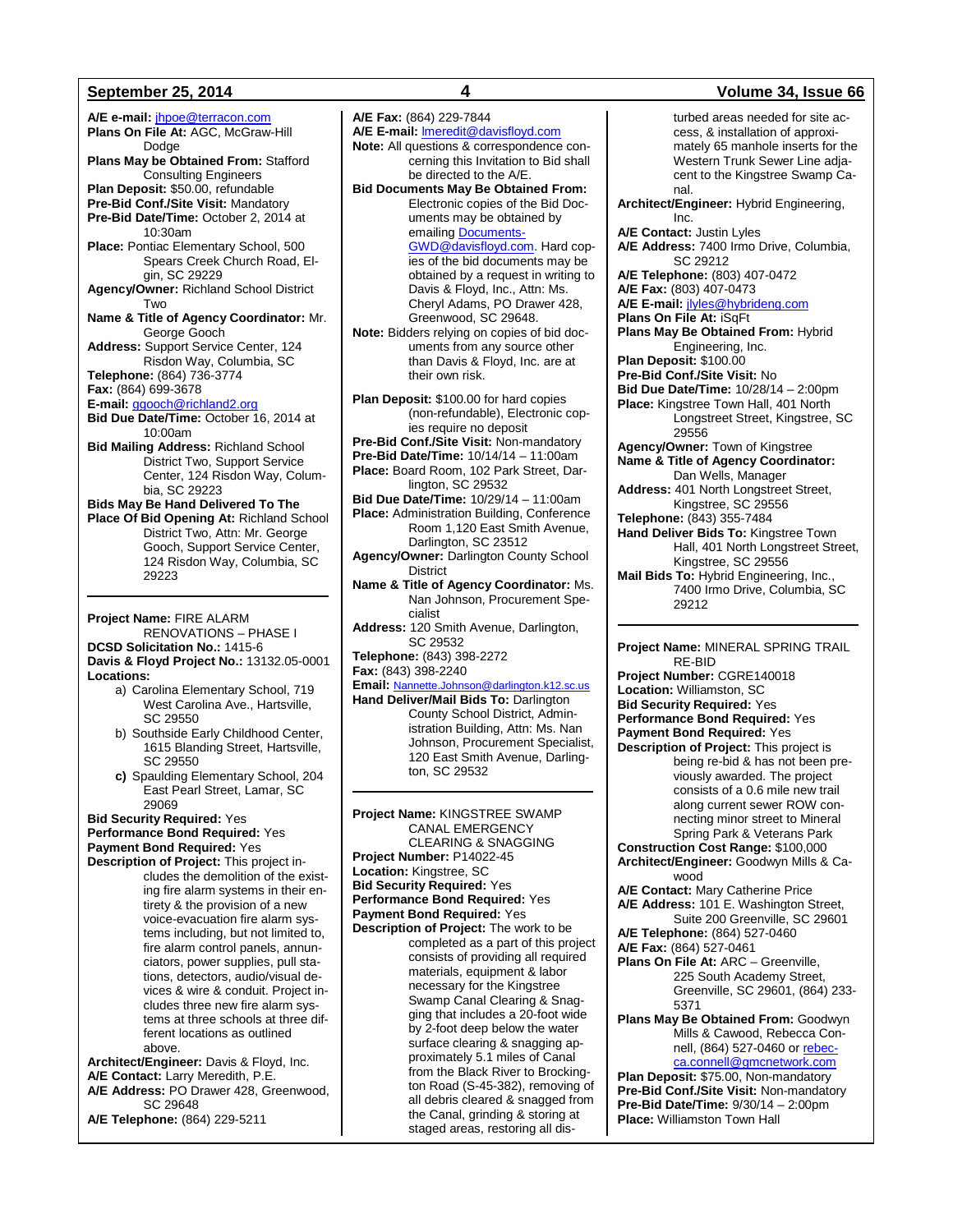**A/E e-mail:** [jhpoe@terracon.com](mailto:jhpoe@terracon.com) **Plans On File At: AGC, McGraw-Hill** Dodge **Plans May be Obtained From:** Stafford Consulting Engineers **Plan Deposit:** \$50.00, refundable **Pre-Bid Conf./Site Visit:** Mandatory **Pre-Bid Date/Time:** October 2, 2014 at 10:30am **Place:** Pontiac Elementary School, 500 Spears Creek Church Road, Elgin, SC 29229 **Agency/Owner:** Richland School District Two **Name & Title of Agency Coordinator:** Mr. George Gooch **Address:** Support Service Center, 124 Risdon Way, Columbia, SC **Telephone:** (864) 736-3774 **Fax:** (864) 699-3678 **E-mail:** [ggooch@richland2.org](mailto:ggooch@richland2.org) **Bid Due Date/Time:** October 16, 2014 at 10:00am **Bid Mailing Address:** Richland School District Two, Support Service Center, 124 Risdon Way, Columbia, SC 29223 **Bids May Be Hand Delivered To The Place Of Bid Opening At:** Richland School District Two, Attn: Mr. George Gooch, Support Service Center, 124 Risdon Way, Columbia, SC 29223 **Project Name:** FIRE ALARM RENOVATIONS – PHASE I

**DCSD Solicitation No.:** 1415-6 **Davis & Floyd Project No.:** 13132.05-0001 **Locations:**

- a) Carolina Elementary School, 719 West Carolina Ave., Hartsville, SC 29550
- b) Southside Early Childhood Center, 1615 Blanding Street, Hartsville, SC 29550
- **c)** Spaulding Elementary School, 204 East Pearl Street, Lamar, SC 29069

**Bid Security Required:** Yes **Performance Bond Required:** Yes **Payment Bond Required:** Yes

**Description of Project:** This project includes the demolition of the existing fire alarm systems in their entirety & the provision of a new voice-evacuation fire alarm systems including, but not limited to, fire alarm control panels, annunciators, power supplies, pull stations, detectors, audio/visual devices & wire & conduit. Project includes three new fire alarm systems at three schools at three different locations as outlined above.

**Architect/Engineer:** Davis & Floyd, Inc. **A/E Contact:** Larry Meredith, P.E. **A/E Address:** PO Drawer 428, Greenwood, SC 29648

**A/E Telephone:** (864) 229-5211

**A/E Fax:** (864) 229-7844 **A/E E-mail:** [lmeredit@davisfloyd.com](mailto:lmeredit@davisfloyd.com) **Note:** All questions & correspondence concerning this Invitation to Bid shall be directed to the A/E. **Bid Documents May Be Obtained From:** Electronic copies of the Bid Documents may be obtained by emailing **Documents-**[GWD@davisfloyd.com.](mailto:Documents-GWD@davisfloyd.com) Hard copies of the bid documents may be obtained by a request in writing to Davis & Floyd, Inc., Attn: Ms. Cheryl Adams, PO Drawer 428, Greenwood, SC 29648. **Note:** Bidders relying on copies of bid documents from any source other than Davis & Floyd, Inc. are at their own risk. **Plan Deposit:** \$100.00 for hard copies (non-refundable), Electronic copies require no deposit **Pre-Bid Conf./Site Visit:** Non-mandatory **Pre-Bid Date/Time:** 10/14/14 – 11:00am **Place:** Board Room, 102 Park Street, Darlington, SC 29532 **Bid Due Date/Time:** 10/29/14 – 11:00am **Place:** Administration Building, Conference Room 1,120 East Smith Avenue, Darlington, SC 23512 **Agency/Owner:** Darlington County School District

**Name & Title of Agency Coordinator:** Ms. Nan Johnson, Procurement Specialist

**Address:** 120 Smith Avenue, Darlington, SC 29532

**Telephone:** (843) 398-2272 **Fax:** (843) 398-2240

#### **Email:** [Nannette.Johnson@darlington.k12.sc.us](mailto:Nannette.Johnson@darlington.k12.sc.us)

**Hand Deliver/Mail Bids To:** Darlington County School District, Administration Building, Attn: Ms. Nan Johnson, Procurement Specialist, 120 East Smith Avenue, Darlington, SC 29532

**Project Name:** KINGSTREE SWAMP CANAL EMERGENCY CLEARING & SNAGGING **Project Number:** P14022-45 **Location:** Kingstree, SC **Bid Security Required:** Yes **Performance Bond Required:** Yes **Payment Bond Required:** Yes **Description of Project:** The work to be

completed as a part of this project consists of providing all required materials, equipment & labor necessary for the Kingstree Swamp Canal Clearing & Snagging that includes a 20-foot wide by 2-foot deep below the water surface clearing & snagging approximately 5.1 miles of Canal from the Black River to Brockington Road (S-45-382), removing of all debris cleared & snagged from the Canal, grinding & storing at staged areas, restoring all dis-

#### **September 25, 2014 4 Volume 34, Issue 66**

turbed areas needed for site access, & installation of approximately 65 manhole inserts for the Western Trunk Sewer Line adjacent to the Kingstree Swamp Canal. **Architect/Engineer:** Hybrid Engineering, Inc. **A/E Contact:** Justin Lyles **A/E Address:** 7400 Irmo Drive, Columbia, SC 29212 **A/E Telephone:** (803) 407-0472 **A/E Fax:** (803) 407-0473 **A/E E-mail:** [jlyles@hybrideng.com](mailto:jlyles@hybrideng.com) **Plans On File At:** iSqFt **Plans May Be Obtained From:** Hybrid Engineering, Inc. **Plan Deposit:** \$100.00 **Pre-Bid Conf./Site Visit:** No **Bid Due Date/Time:** 10/28/14 – 2:00pm **Place:** Kingstree Town Hall, 401 North Longstreet Street, Kingstree, SC 29556 **Agency/Owner:** Town of Kingstree **Name & Title of Agency Coordinator:** Dan Wells, Manager **Address:** 401 North Longstreet Street, Kingstree, SC 29556 **Telephone:** (843) 355-7484 **Hand Deliver Bids To:** Kingstree Town Hall, 401 North Longstreet Street, Kingstree, SC 29556 **Mail Bids To:** Hybrid Engineering, Inc., 7400 Irmo Drive, Columbia, SC 29212

**Project Name:** MINERAL SPRING TRAIL RE-BID

**Project Number:** CGRE140018 **Location:** Williamston, SC **Bid Security Required:** Yes **Performance Bond Required:** Yes **Payment Bond Required:** Yes **Description of Project:** This project is being re-bid & has not been previously awarded. The project consists of a 0.6 mile new trail along current sewer ROW connecting minor street to Mineral Spring Park & Veterans Park **Construction Cost Range:** \$100,000 **Architect/Engineer:** Goodwyn Mills & Cawood **A/E Contact:** Mary Catherine Price **A/E Address:** 101 E. Washington Street, Suite 200 Greenville, SC 29601 **A/E Telephone:** (864) 527-0460 **A/E Fax:** (864) 527-0461 **Plans On File At:** ARC – Greenville, 225 South Academy Street, Greenville, SC 29601, (864) 233- 5371 **Plans May Be Obtained From:** Goodwyn Mills & Cawood, Rebecca Connell, (864) 527-0460 or [rebec](mailto:rebecca.connell@gmcnetwork.com)[ca.connell@gmcnetwork.com](mailto:rebecca.connell@gmcnetwork.com) **Plan Deposit:** \$75.00, Non-mandatory **Pre-Bid Conf./Site Visit:** Non-mandatory **Pre-Bid Date/Time:** 9/30/14 – 2:00pm **Place:** Williamston Town Hall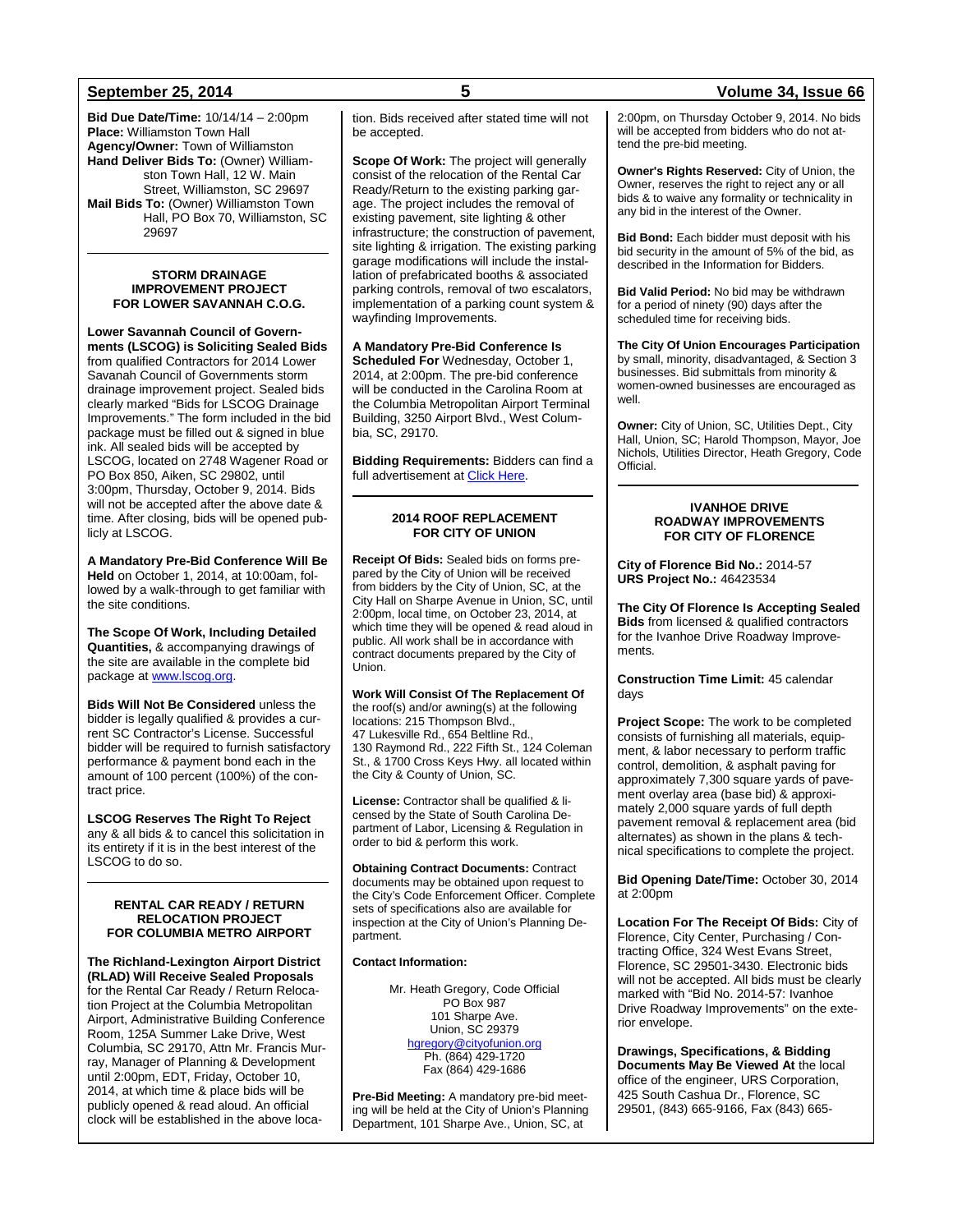**Bid Due Date/Time:** 10/14/14 – 2:00pm **Place:** Williamston Town Hall **Agency/Owner:** Town of Williamston **Hand Deliver Bids To:** (Owner) Williamston Town Hall, 12 W. Main Street, Williamston, SC 29697 **Mail Bids To:** (Owner) Williamston Town Hall, PO Box 70, Williamston, SC 29697

#### **STORM DRAINAGE IMPROVEMENT PROJECT FOR LOWER SAVANNAH C.O.G.**

**Lower Savannah Council of Governments (LSCOG) is Soliciting Sealed Bids** from qualified Contractors for 2014 Lower Savanah Council of Governments storm drainage improvement project. Sealed bids clearly marked "Bids for LSCOG Drainage Improvements." The form included in the bid package must be filled out & signed in blue ink. All sealed bids will be accepted by LSCOG, located on 2748 Wagener Road or PO Box 850, Aiken, SC 29802, until 3:00pm, Thursday, October 9, 2014. Bids will not be accepted after the above date & time. After closing, bids will be opened publicly at LSCOG.

**A Mandatory Pre-Bid Conference Will Be Held** on October 1, 2014, at 10:00am, followed by a walk-through to get familiar with the site conditions.

**The Scope Of Work, Including Detailed Quantities,** & accompanying drawings of the site are available in the complete bid package a[t www.lscog.org.](http://www.lscog.org/)

**Bids Will Not Be Considered** unless the bidder is legally qualified & provides a current SC Contractor's License. Successful bidder will be required to furnish satisfactory performance & payment bond each in the amount of 100 percent (100%) of the contract price.

**LSCOG Reserves The Right To Reject**  any & all bids & to cancel this solicitation in its entirety if it is in the best interest of the LSCOG to do so.

#### **RENTAL CAR READY / RETURN RELOCATION PROJECT FOR COLUMBIA METRO AIRPORT**

**The Richland-Lexington Airport District (RLAD) Will Receive Sealed Proposals** for the Rental Car Ready / Return Relocation Project at the Columbia Metropolitan Airport, Administrative Building Conference Room, 125A Summer Lake Drive, West Columbia, SC 29170, Attn Mr. Francis Murray, Manager of Planning & Development until 2:00pm, EDT, Friday, October 10, 2014, at which time & place bids will be publicly opened & read aloud. An official clock will be established in the above location. Bids received after stated time will not be accepted.

**Scope Of Work:** The project will generally consist of the relocation of the Rental Car Ready/Return to the existing parking garage. The project includes the removal of existing pavement, site lighting & other infrastructure; the construction of pavement, site lighting & irrigation. The existing parking garage modifications will include the installation of prefabricated booths & associated parking controls, removal of two escalators, implementation of a parking count system & wayfinding Improvements.

### **A Mandatory Pre-Bid Conference Is**

**Scheduled For** Wednesday, October 1, 2014, at 2:00pm. The pre-bid conference will be conducted in the Carolina Room at the Columbia Metropolitan Airport Terminal Building, 3250 Airport Blvd., West Columbia, SC, 29170.

**Bidding Requirements:** Bidders can find a full advertisement a[t Click Here.](http://www.columbiaairport.com/businessopportunities/constructionprojects.aspx)

#### **2014 ROOF REPLACEMENT FOR CITY OF UNION**

**Receipt Of Bids:** Sealed bids on forms prepared by the City of Union will be received from bidders by the City of Union, SC, at the City Hall on Sharpe Avenue in Union, SC, until 2:00pm, local time, on October 23, 2014, at which time they will be opened & read aloud in public. All work shall be in accordance with contract documents prepared by the City of Union.

**Work Will Consist Of The Replacement Of**  the roof(s) and/or awning(s) at the following locations: 215 Thompson Blvd., 47 Lukesville Rd., 654 Beltline Rd., 130 Raymond Rd., 222 Fifth St., 124 Coleman St., & 1700 Cross Keys Hwy. all located within the City & County of Union, SC.

**License:** Contractor shall be qualified & licensed by the State of South Carolina Department of Labor, Licensing & Regulation in order to bid & perform this work.

**Obtaining Contract Documents:** Contract documents may be obtained upon request to the City's Code Enforcement Officer. Complete sets of specifications also are available for inspection at the City of Union's Planning Department.

#### **Contact Information:**

Mr. Heath Gregory, Code Official PO Box 987 101 Sharpe Ave. Union, SC 29379 [hgregory@cityofunion.org](mailto:hgregory@cityofunion.org) Ph. (864) 429-1720 Fax (864) 429-1686

**Pre-Bid Meeting:** A mandatory pre-bid meeting will be held at the City of Union's Planning Department, 101 Sharpe Ave., Union, SC, at

### **September 25, 2014 5 Volume 34, Issue 66**

2:00pm, on Thursday October 9, 2014. No bids will be accepted from bidders who do not attend the pre-bid meeting.

**Owner's Rights Reserved:** City of Union, the Owner, reserves the right to reject any or all bids & to waive any formality or technicality in any bid in the interest of the Owner.

**Bid Bond:** Each bidder must deposit with his bid security in the amount of 5% of the bid, as described in the Information for Bidders.

**Bid Valid Period:** No bid may be withdrawn for a period of ninety (90) days after the scheduled time for receiving bids.

**The City Of Union Encourages Participation**  by small, minority, disadvantaged, & Section 3 businesses. Bid submittals from minority & women-owned businesses are encouraged as well.

**Owner:** City of Union, SC, Utilities Dept., City Hall, Union, SC; Harold Thompson, Mayor, Joe Nichols, Utilities Director, Heath Gregory, Code Official.

#### **IVANHOE DRIVE ROADWAY IMPROVEMENTS FOR CITY OF FLORENCE**

**City of Florence Bid No.:** 2014-57 **URS Project No.:** 46423534

**The City Of Florence Is Accepting Sealed Bids** from licensed & qualified contractors for the Ivanhoe Drive Roadway Improvements.

**Construction Time Limit:** 45 calendar days

**Project Scope:** The work to be completed consists of furnishing all materials, equipment, & labor necessary to perform traffic control, demolition, & asphalt paving for approximately 7,300 square yards of pavement overlay area (base bid) & approximately 2,000 square yards of full depth pavement removal & replacement area (bid alternates) as shown in the plans & technical specifications to complete the project.

**Bid Opening Date/Time:** October 30, 2014 at 2:00pm

**Location For The Receipt Of Bids:** City of Florence, City Center, Purchasing / Contracting Office, 324 West Evans Street, Florence, SC 29501-3430. Electronic bids will not be accepted. All bids must be clearly marked with "Bid No. 2014-57: Ivanhoe Drive Roadway Improvements" on the exterior envelope.

**Drawings, Specifications, & Bidding Documents May Be Viewed At** the local office of the engineer, URS Corporation, 425 South Cashua Dr., Florence, SC 29501, (843) 665-9166, Fax (843) 665-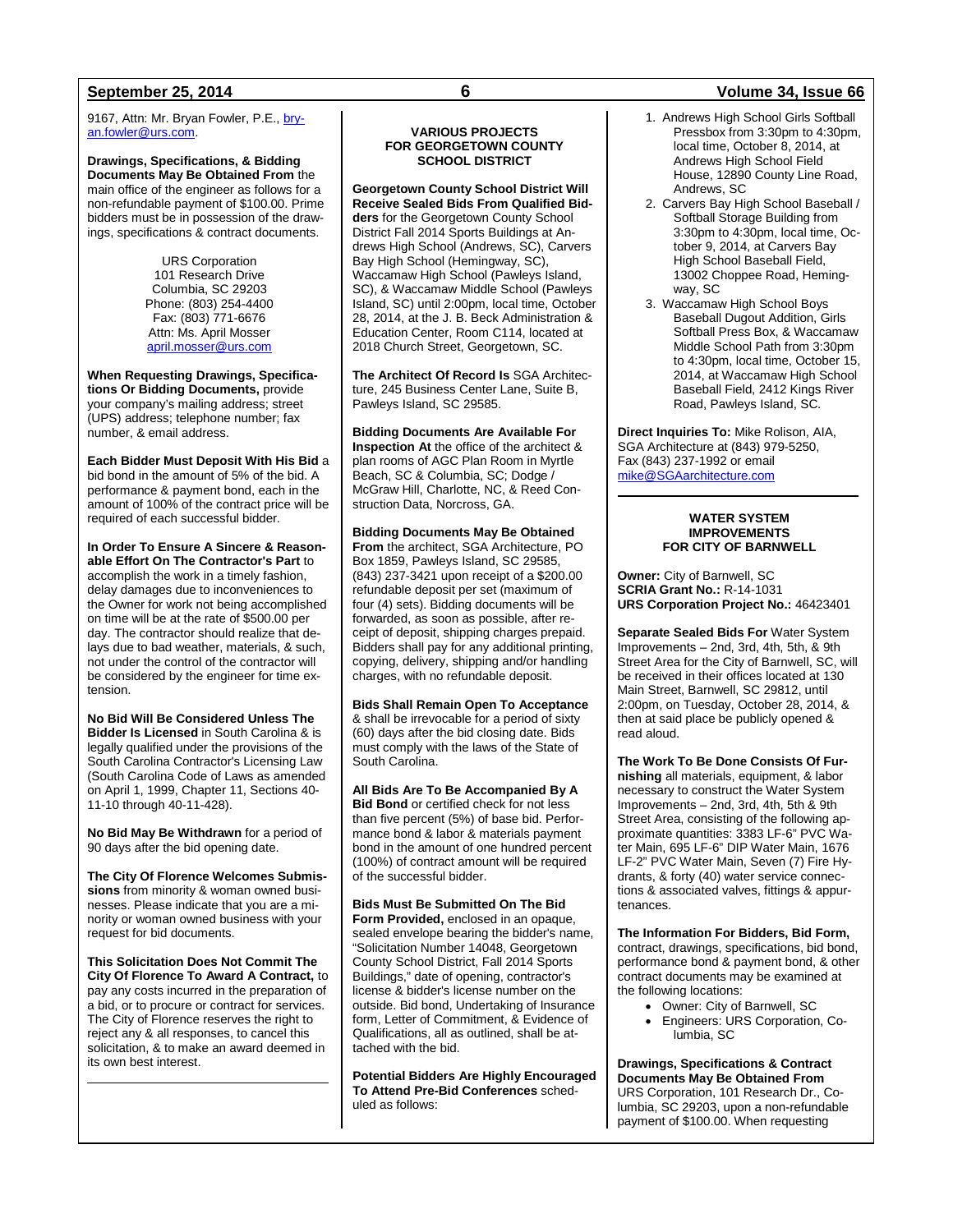9167, Attn: Mr. Bryan Fowler, P.E., [bry](mailto:bryan.fowler@urs.com)[an.fowler@urs.com.](mailto:bryan.fowler@urs.com)

**Drawings, Specifications, & Bidding Documents May Be Obtained From** the main office of the engineer as follows for a non-refundable payment of \$100.00. Prime bidders must be in possession of the drawings, specifications & contract documents.

> URS Corporation 101 Research Drive Columbia, SC 29203 Phone: (803) 254-4400 Fax: (803) 771-6676 Attn: Ms. April Mosser [april.mosser@urs.com](mailto:april.mosser@urs.com)

**When Requesting Drawings, Specifications Or Bidding Documents,** provide your company's mailing address; street (UPS) address; telephone number; fax number, & email address.

**Each Bidder Must Deposit With His Bid** a bid bond in the amount of 5% of the bid. A performance & payment bond, each in the amount of 100% of the contract price will be required of each successful bidder.

**In Order To Ensure A Sincere & Reasonable Effort On The Contractor's Part** to accomplish the work in a timely fashion, delay damages due to inconveniences to the Owner for work not being accomplished on time will be at the rate of \$500.00 per day. The contractor should realize that delays due to bad weather, materials, & such, not under the control of the contractor will be considered by the engineer for time extension.

**No Bid Will Be Considered Unless The Bidder Is Licensed** in South Carolina & is legally qualified under the provisions of the South Carolina Contractor's Licensing Law (South Carolina Code of Laws as amended on April 1, 1999, Chapter 11, Sections 40- 11-10 through 40-11-428).

**No Bid May Be Withdrawn** for a period of 90 days after the bid opening date.

**The City Of Florence Welcomes Submissions** from minority & woman owned businesses. Please indicate that you are a minority or woman owned business with your request for bid documents.

**This Solicitation Does Not Commit The City Of Florence To Award A Contract,** to pay any costs incurred in the preparation of a bid, or to procure or contract for services. The City of Florence reserves the right to reject any & all responses, to cancel this solicitation, & to make an award deemed in its own best interest.

### **VARIOUS PROJECTS FOR GEORGETOWN COUNTY SCHOOL DISTRICT**

**Georgetown County School District Will Receive Sealed Bids From Qualified Bidders** for the Georgetown County School District Fall 2014 Sports Buildings at Andrews High School (Andrews, SC), Carvers Bay High School (Hemingway, SC), Waccamaw High School (Pawleys Island, SC), & Waccamaw Middle School (Pawleys Island, SC) until 2:00pm, local time, October 28, 2014, at the J. B. Beck Administration & Education Center, Room C114, located at 2018 Church Street, Georgetown, SC.

**The Architect Of Record Is** SGA Architecture, 245 Business Center Lane, Suite B, Pawleys Island, SC 29585.

**Bidding Documents Are Available For Inspection At** the office of the architect & plan rooms of AGC Plan Room in Myrtle Beach, SC & Columbia, SC; Dodge / McGraw Hill, Charlotte, NC, & Reed Construction Data, Norcross, GA.

**Bidding Documents May Be Obtained From** the architect, SGA Architecture, PO Box 1859, Pawleys Island, SC 29585, (843) 237-3421 upon receipt of a \$200.00 refundable deposit per set (maximum of four (4) sets). Bidding documents will be forwarded, as soon as possible, after receipt of deposit, shipping charges prepaid. Bidders shall pay for any additional printing, copying, delivery, shipping and/or handling charges, with no refundable deposit.

**Bids Shall Remain Open To Acceptance**  & shall be irrevocable for a period of sixty (60) days after the bid closing date. Bids must comply with the laws of the State of South Carolina.

**All Bids Are To Be Accompanied By A Bid Bond** or certified check for not less than five percent (5%) of base bid. Performance bond & labor & materials payment bond in the amount of one hundred percent (100%) of contract amount will be required of the successful bidder.

**Bids Must Be Submitted On The Bid Form Provided,** enclosed in an opaque, sealed envelope bearing the bidder's name, "Solicitation Number 14048, Georgetown County School District, Fall 2014 Sports Buildings," date of opening, contractor's license & bidder's license number on the outside. Bid bond, Undertaking of Insurance form, Letter of Commitment, & Evidence of Qualifications, all as outlined, shall be attached with the bid.

**Potential Bidders Are Highly Encouraged To Attend Pre-Bid Conferences** scheduled as follows:

#### 1. Andrews High School Girls Softball Pressbox from 3:30pm to 4:30pm. local time, October 8, 2014, at Andrews High School Field House, 12890 County Line Road, Andrews, SC

- 2. Carvers Bay High School Baseball / Softball Storage Building from 3:30pm to 4:30pm, local time, October 9, 2014, at Carvers Bay High School Baseball Field, 13002 Choppee Road, Hemingway, SC
- 3. Waccamaw High School Boys Baseball Dugout Addition, Girls Softball Press Box, & Waccamaw Middle School Path from 3:30pm to 4:30pm, local time, October 15, 2014, at Waccamaw High School Baseball Field, 2412 Kings River Road, Pawleys Island, SC.

**Direct Inquiries To:** Mike Rolison, AIA, SGA Architecture at (843) 979-5250, Fax (843) 237-1992 or email [mike@SGAarchitecture.com](mailto:mike@SGAarchitecture.com)

#### **WATER SYSTEM IMPROVEMENTS FOR CITY OF BARNWELL**

**Owner:** City of Barnwell, SC **SCRIA Grant No.:** R-14-1031 **URS Corporation Project No.:** 46423401

**Separate Sealed Bids For** Water System Improvements – 2nd, 3rd, 4th, 5th, & 9th Street Area for the City of Barnwell, SC, will be received in their offices located at 130 Main Street, Barnwell, SC 29812, until 2:00pm, on Tuesday, October 28, 2014, & then at said place be publicly opened & read aloud.

**The Work To Be Done Consists Of Furnishing** all materials, equipment, & labor necessary to construct the Water System Improvements – 2nd, 3rd, 4th, 5th & 9th Street Area, consisting of the following approximate quantities: 3383 LF-6" PVC Water Main, 695 LF-6" DIP Water Main, 1676 LF-2" PVC Water Main, Seven (7) Fire Hydrants, & forty (40) water service connections & associated valves, fittings & appurtenances.

**The Information For Bidders, Bid Form,** contract, drawings, specifications, bid bond, performance bond & payment bond, & other contract documents may be examined at the following locations:

- Owner: City of Barnwell, SC
- Engineers: URS Corporation, Columbia, SC

**Drawings, Specifications & Contract Documents May Be Obtained From** URS Corporation, 101 Research Dr., Columbia, SC 29203, upon a non-refundable payment of \$100.00. When requesting

### **September 25, 2014 6 Volume 34, Issue 66**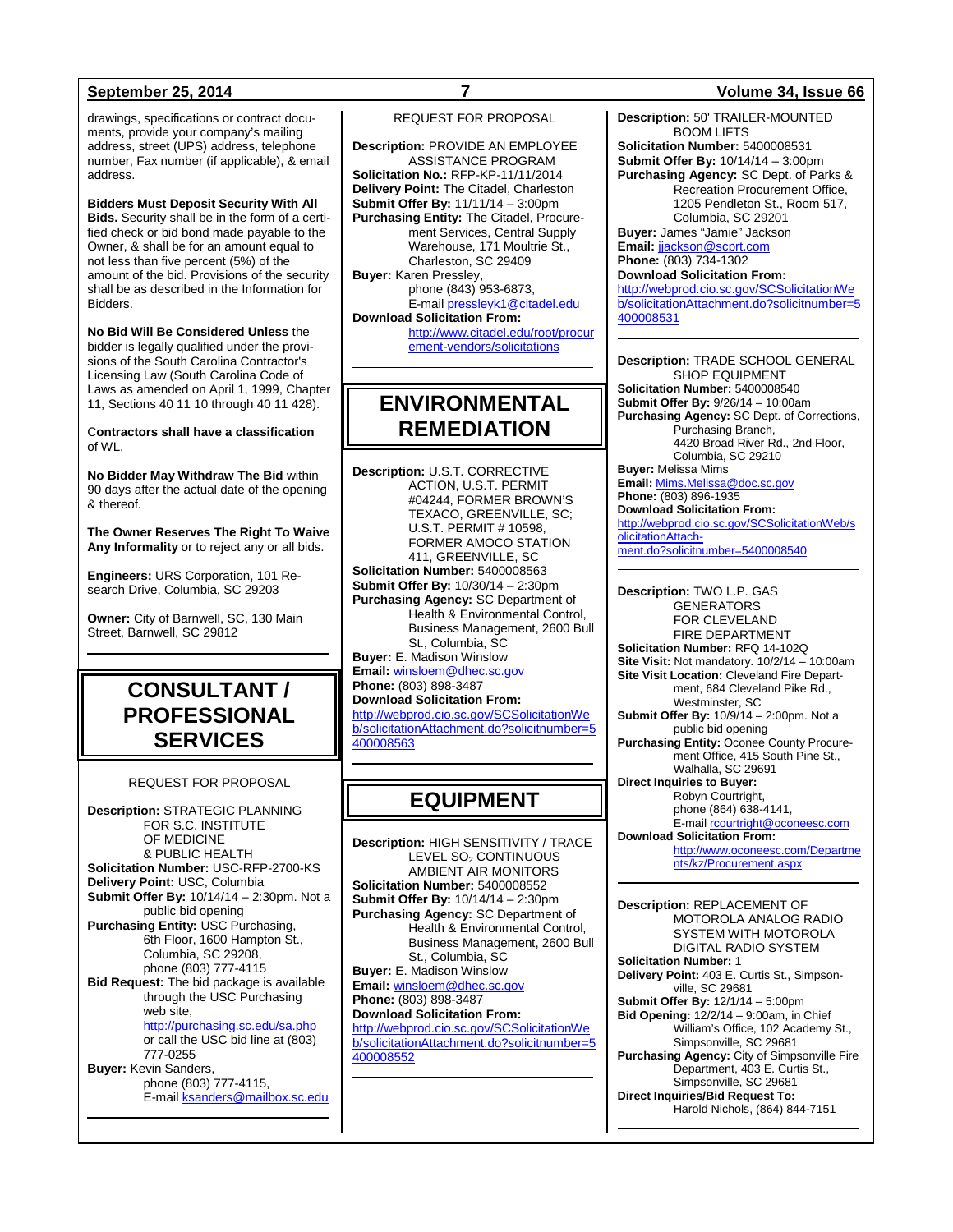drawings, specifications or contract documents, provide your company's mailing address, street (UPS) address, telephone number, Fax number (if applicable), & email address.

**Bidders Must Deposit Security With All Bids.** Security shall be in the form of a certified check or bid bond made payable to the Owner, & shall be for an amount equal to not less than five percent (5%) of the amount of the bid. Provisions of the security shall be as described in the Information for Bidders.

**No Bid Will Be Considered Unless** the bidder is legally qualified under the provisions of the South Carolina Contractor's Licensing Law (South Carolina Code of Laws as amended on April 1, 1999, Chapter 11, Sections 40 11 10 through 40 11 428).

C**ontractors shall have a classification** of WL.

**No Bidder May Withdraw The Bid** within 90 days after the actual date of the opening & thereof.

**The Owner Reserves The Right To Waive Any Informality** or to reject any or all bids.

**Engineers:** URS Corporation, 101 Research Drive, Columbia, SC 29203

**Owner:** City of Barnwell, SC, 130 Main Street, Barnwell, SC 29812

## **CONSULTANT / PROFESSIONAL SERVICES**

#### REQUEST FOR PROPOSAL

**Description:** STRATEGIC PLANNING FOR S.C. INSTITUTE OF MEDICINE & PUBLIC HEALTH **Solicitation Number:** USC-RFP-2700-KS **Delivery Point:** USC, Columbia **Submit Offer By:** 10/14/14 – 2:30pm. Not a public bid opening **Purchasing Entity:** USC Purchasing, 6th Floor, 1600 Hampton St., Columbia, SC 29208, phone (803) 777-4115 **Bid Request:** The bid package is available through the USC Purchasing web site, <http://purchasing.sc.edu/sa.php> or call the USC bid line at (803) 777-0255 **Buyer:** Kevin Sanders, phone (803) 777-4115, E-mail [ksanders@mailbox.sc.edu](mailto:ksanders@mailbox.sc.edu)

#### REQUEST FOR PROPOSAL

**Description:** PROVIDE AN EMPLOYEE ASSISTANCE PROGRAM **Solicitation No.:** RFP-KP-11/11/2014 **Delivery Point:** The Citadel, Charleston **Submit Offer By:** 11/11/14 – 3:00pm Purchasing Entity: The Citadel, Procurement Services, Central Supply Warehouse, 171 Moultrie St., Charleston, SC 29409 **Buyer:** Karen Pressley, phone (843) 953-6873, E-mai[l pressleyk1@citadel.edu](mailto:pressleyk1@citadel.edu) **Download Solicitation From:**  [http://www.citadel.edu/root/procur](http://www.citadel.edu/root/procurement-vendors/solicitations) [ement-vendors/solicitations](http://www.citadel.edu/root/procurement-vendors/solicitations) 

## **ENVIRONMENTAL REMEDIATION**

**Description:** U.S.T. CORRECTIVE ACTION, U.S.T. PERMIT #04244, FORMER BROWN'S TEXACO, GREENVILLE, SC; U.S.T. PERMIT # 10598, FORMER AMOCO STATION 411, GREENVILLE, SC **Solicitation Number:** 5400008563 **Submit Offer By:** 10/30/14 – 2:30pm **Purchasing Agency:** SC Department of Health & Environmental Control, Business Management, 2600 Bull St., Columbia, SC **Buyer:** E. Madison Winslow **Email:** [winsloem@dhec.sc.gov](mailto:winsloem@dhec.sc.gov) **Phone:** (803) 898-3487 **Download Solicitation From:** [http://webprod.cio.sc.gov/SCSolicitationWe](http://webprod.cio.sc.gov/SCSolicitationWeb/solicitationAttachment.do?solicitnumber=5400008563) [b/solicitationAttachment.do?solicitnumber=5](http://webprod.cio.sc.gov/SCSolicitationWeb/solicitationAttachment.do?solicitnumber=5400008563) [400008563](http://webprod.cio.sc.gov/SCSolicitationWeb/solicitationAttachment.do?solicitnumber=5400008563)

## **EQUIPMENT**

**Description:** HIGH SENSITIVITY / TRACE LEVEL SO<sub>2</sub> CONTINUOUS AMBIENT AIR MONITORS **Solicitation Number:** 5400008552 **Submit Offer By:** 10/14/14 – 2:30pm **Purchasing Agency:** SC Department of Health & Environmental Control, Business Management, 2600 Bull St., Columbia, SC **Buyer:** E. Madison Winslow **Email:** [winsloem@dhec.sc.gov](mailto:winsloem@dhec.sc.gov) **Phone:** (803) 898-3487 **Download Solicitation From:** [http://webprod.cio.sc.gov/SCSolicitationWe](http://webprod.cio.sc.gov/SCSolicitationWeb/solicitationAttachment.do?solicitnumber=5400008552) [b/solicitationAttachment.do?solicitnumber=5](http://webprod.cio.sc.gov/SCSolicitationWeb/solicitationAttachment.do?solicitnumber=5400008552) [400008552](http://webprod.cio.sc.gov/SCSolicitationWeb/solicitationAttachment.do?solicitnumber=5400008552)

### **September 25, 2014 7 Volume 34, Issue 66**

**Description:** 50' TRAILER-MOUNTED BOOM LIFTS **Solicitation Number:** 5400008531 **Submit Offer By:** 10/14/14 – 3:00pm **Purchasing Agency:** SC Dept. of Parks & Recreation Procurement Office, 1205 Pendleton St., Room 517,

Columbia, SC 29201 **Buyer:** James "Jamie" Jackson **Email:** [jjackson@scprt.com](mailto:jjackson@scprt.com) **Phone:** (803) 734-1302

**Download Solicitation From:** [http://webprod.cio.sc.gov/SCSolicitationWe](http://webprod.cio.sc.gov/SCSolicitationWeb/solicitationAttachment.do?solicitnumber=5400008531) [b/solicitationAttachment.do?solicitnumber=5](http://webprod.cio.sc.gov/SCSolicitationWeb/solicitationAttachment.do?solicitnumber=5400008531) [400008531](http://webprod.cio.sc.gov/SCSolicitationWeb/solicitationAttachment.do?solicitnumber=5400008531)

**Description:** TRADE SCHOOL GENERAL SHOP EQUIPMENT **Solicitation Number:** 5400008540 **Submit Offer By:** 9/26/14 – 10:00am **Purchasing Agency:** SC Dept. of Corrections, Purchasing Branch, 4420 Broad River Rd., 2nd Floor, Columbia, SC 29210 **Buyer:** Melissa Mims **Email:** [Mims.Melissa@doc.sc.gov](mailto:Mims.Melissa@doc.sc.gov) **Phone:** (803) 896-1935 **Download Solicitation From:** http://webprod.cio.sc.gov/S

[olicitationAttach](http://webprod.cio.sc.gov/SCSolicitationWeb/solicitationAttachment.do?solicitnumber=5400008540)[ment.do?solicitnumber=5400008540](http://webprod.cio.sc.gov/SCSolicitationWeb/solicitationAttachment.do?solicitnumber=5400008540)

**Description:** TWO L.P. GAS GENERATORS FOR CLEVELAND FIRE DEPARTMENT **Solicitation Number:** RFQ 14-102Q **Site Visit:** Not mandatory. 10/2/14 – 10:00am **Site Visit Location:** Cleveland Fire Department, 684 Cleveland Pike Rd., Westminster, SC **Submit Offer By:** 10/9/14 – 2:00pm. Not a public bid opening **Purchasing Entity:** Oconee County Procurement Office, 415 South Pine St., Walhalla, SC 29691 **Direct Inquiries to Buyer:** Robyn Courtright, phone (864) 638-4141, E-mai[l rcourtright@oconeesc.com](mailto:rcourtright@oconeesc.com) **Download Solicitation From:** [http://www.oconeesc.com/Departme](http://www.oconeesc.com/Departments/kz/Procurement.aspx) [nts/kz/Procurement.aspx](http://www.oconeesc.com/Departments/kz/Procurement.aspx)

**Description:** REPLACEMENT OF MOTOROLA ANALOG RADIO SYSTEM WITH MOTOROLA DIGITAL RADIO SYSTEM **Solicitation Number:** 1 **Delivery Point:** 403 E. Curtis St., Simpsonville, SC 29681 **Submit Offer By:** 12/1/14 – 5:00pm **Bid Opening:** 12/2/14 – 9:00am, in Chief William's Office, 102 Academy St., Simpsonville, SC 29681 **Purchasing Agency:** City of Simpsonville Fire Department, 403 E. Curtis St., Simpsonville, SC 29681 **Direct Inquiries/Bid Request To:** Harold Nichols, (864) 844-7151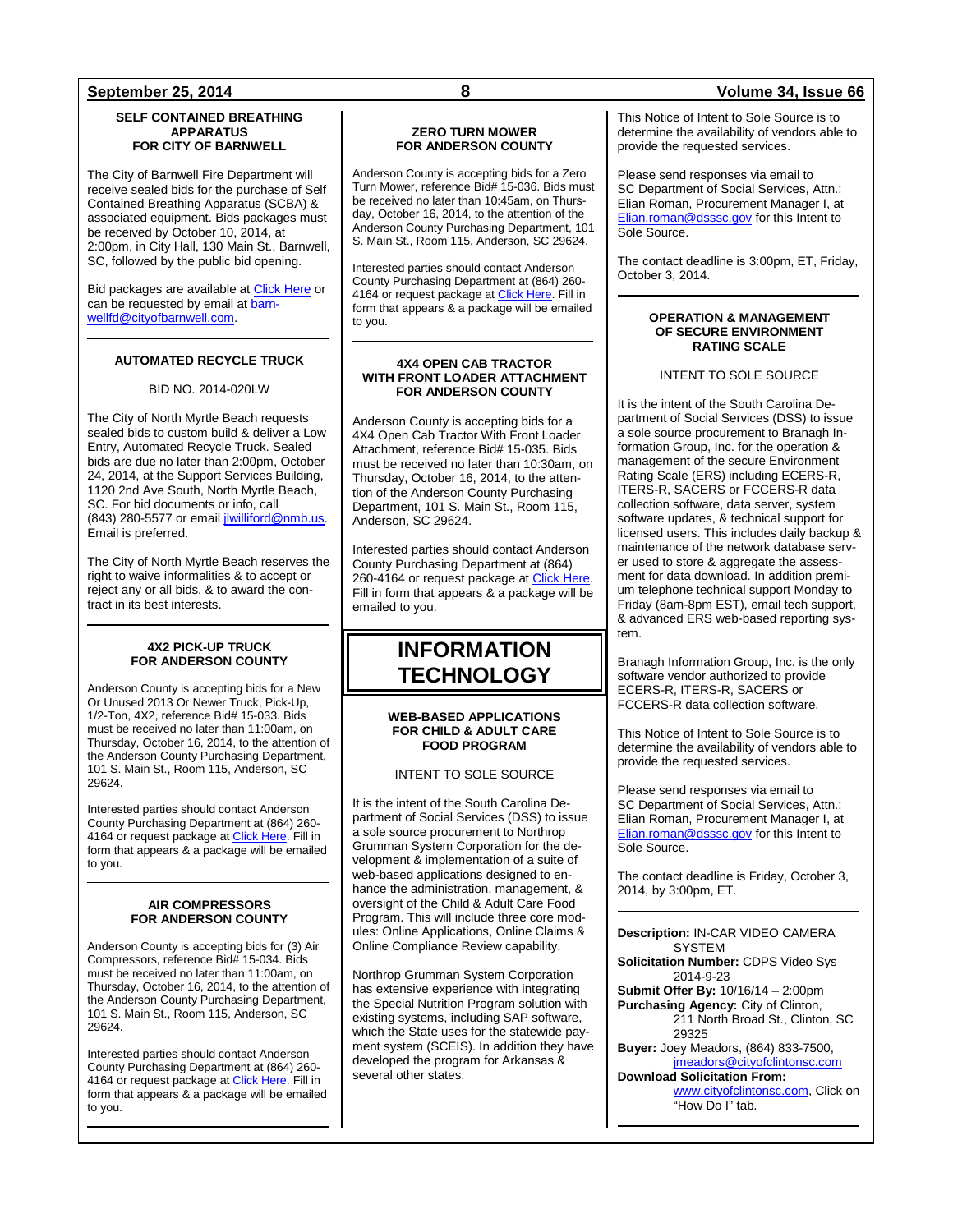#### **SELF CONTAINED BREATHING APPARATUS FOR CITY OF BARNWELL**

The City of Barnwell Fire Department will receive sealed bids for the purchase of Self Contained Breathing Apparatus (SCBA) & associated equipment. Bids packages must be received by October 10, 2014, at 2:00pm, in City Hall, 130 Main St., Barnwell, SC, followed by the public bid opening.

Bid packages are available at [Click Here](http://www.cityofbarnwell.com/jobs-bids) or can be requested by email at [barn](mailto:barnwellfd@cityofbarnwell.com)[wellfd@cityofbarnwell.com.](mailto:barnwellfd@cityofbarnwell.com)

### **AUTOMATED RECYCLE TRUCK**

#### BID NO. 2014-020LW

The City of North Myrtle Beach requests sealed bids to custom build & deliver a Low Entry, Automated Recycle Truck. Sealed bids are due no later than 2:00pm, October 24, 2014, at the Support Services Building, 1120 2nd Ave South, North Myrtle Beach, SC. For bid documents or info, call (843) 280-5577 or email [jlwilliford@nmb.us.](mailto:jlwilliford@nmb.us)  Email is preferred.

The City of North Myrtle Beach reserves the right to waive informalities & to accept or reject any or all bids, & to award the contract in its best interests.

#### **4X2 PICK-UP TRUCK FOR ANDERSON COUNTY**

Anderson County is accepting bids for a New Or Unused 2013 Or Newer Truck, Pick-Up, 1/2-Ton, 4X2, reference Bid# 15-033. Bids must be received no later than 11:00am, on Thursday, October 16, 2014, to the attention of the Anderson County Purchasing Department, 101 S. Main St., Room 115, Anderson, SC 29624.

Interested parties should contact Anderson County Purchasing Department at (864) 260 4164 or request package a[t Click Here.](http://www.andersoncountysc.org/WEB/Purchasing_01.asp) Fill in form that appears & a package will be emailed to you.

#### **AIR COMPRESSORS FOR ANDERSON COUNTY**

Anderson County is accepting bids for (3) Air Compressors, reference Bid# 15-034. Bids must be received no later than 11:00am, on Thursday, October 16, 2014, to the attention of the Anderson County Purchasing Department, 101 S. Main St., Room 115, Anderson, SC 29624.

Interested parties should contact Anderson County Purchasing Department at (864) 260- 4164 or request package a[t Click Here.](http://www.andersoncountysc.org/WEB/Purchasing_01.asp) Fill in form that appears & a package will be emailed to you.

### **ZERO TURN MOWER FOR ANDERSON COUNTY**

Anderson County is accepting bids for a Zero Turn Mower, reference Bid# 15-036. Bids must be received no later than 10:45am, on Thursday, October 16, 2014, to the attention of the Anderson County Purchasing Department, 101 S. Main St., Room 115, Anderson, SC 29624.

Interested parties should contact Anderson County Purchasing Department at (864) 260- 4164 or request package at [Click Here.](http://www.andersoncountysc.org/WEB/Purchasing_01.asp) Fill in form that appears & a package will be emailed to you.

#### **4X4 OPEN CAB TRACTOR WITH FRONT LOADER ATTACHMENT FOR ANDERSON COUNTY**

Anderson County is accepting bids for a 4X4 Open Cab Tractor With Front Loader Attachment, reference Bid# 15-035. Bids must be received no later than 10:30am, on Thursday, October 16, 2014, to the attention of the Anderson County Purchasing Department, 101 S. Main St., Room 115. Anderson, SC 29624.

Interested parties should contact Anderson County Purchasing Department at (864) 260-4164 or request package a[t Click Here.](http://www.andersoncountysc.org/WEB/Purchasing_01.asp) Fill in form that appears & a package will be emailed to you.

## **INFORMATION TECHNOLOGY**

#### **WEB-BASED APPLICATIONS FOR CHILD & ADULT CARE FOOD PROGRAM**

#### INTENT TO SOLE SOURCE

It is the intent of the South Carolina Department of Social Services (DSS) to issue a sole source procurement to Northrop Grumman System Corporation for the development & implementation of a suite of web-based applications designed to enhance the administration, management, & oversight of the Child & Adult Care Food Program. This will include three core modules: Online Applications, Online Claims & Online Compliance Review capability.

Northrop Grumman System Corporation has extensive experience with integrating the Special Nutrition Program solution with existing systems, including SAP software, which the State uses for the statewide payment system (SCEIS). In addition they have developed the program for Arkansas & several other states.

#### This Notice of Intent to Sole Source is to determine the availability of vendors able to provide the requested services.

Please send responses via email to SC Department of Social Services, Attn.: Elian Roman, Procurement Manager I, at [Elian.roman@dsssc.gov](mailto:Elian.roman@dsssc.gov) for this Intent to Sole Source.

The contact deadline is 3:00pm, ET, Friday, October 3, 2014.

#### **OPERATION & MANAGEMENT OF SECURE ENVIRONMENT RATING SCALE**

### INTENT TO SOLE SOURCE

It is the intent of the South Carolina Department of Social Services (DSS) to issue a sole source procurement to Branagh Information Group, Inc. for the operation & management of the secure Environment Rating Scale (ERS) including ECERS-R, ITERS-R, SACERS or FCCERS-R data collection software, data server, system software updates, & technical support for licensed users. This includes daily backup & maintenance of the network database server used to store & aggregate the assessment for data download. In addition premium telephone technical support Monday to Friday (8am-8pm EST), email tech support, & advanced ERS web-based reporting system.

Branagh Information Group, Inc. is the only software vendor authorized to provide ECERS-R, ITERS-R, SACERS or FCCERS-R data collection software.

This Notice of Intent to Sole Source is to determine the availability of vendors able to provide the requested services.

Please send responses via email to SC Department of Social Services, Attn.: Elian Roman, Procurement Manager I, at [Elian.roman@dsssc.gov](mailto:Elian.roman@dsssc.gov) for this Intent to Sole Source.

The contact deadline is Friday, October 3, 2014, by 3:00pm, ET.

**Description:** IN-CAR VIDEO CAMERA **SYSTEM Solicitation Number:** CDPS Video Sys 2014-9-23 **Submit Offer By: 10/16/14 – 2:00pm Purchasing Agency:** City of Clinton, 211 North Broad St., Clinton, SC 29325 **Buyer:** Joey Meadors, (864) 833-7500, [jmeadors@cityofclintonsc.com](mailto:jmeadors@cityofclintonsc.com) **Download Solicitation From:** [www.cityofclintonsc.com,](http://www.cityofclintonsc.com/) Click on "How Do I" tab.

### **September 25, 2014 8 Volume 34, Issue 66**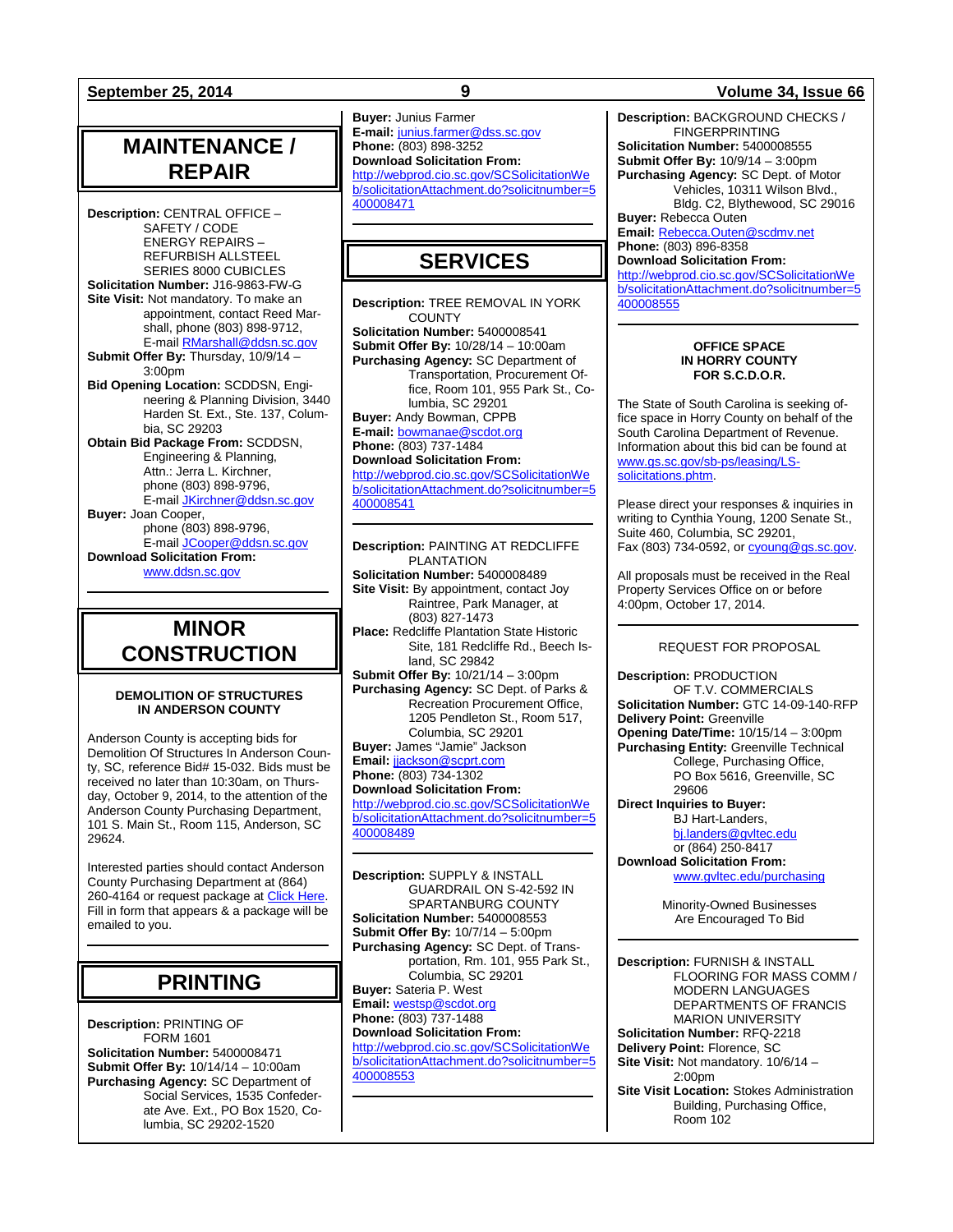## **MAINTENANCE / REPAIR**

**Description:** CENTRAL OFFICE – SAFETY / CODE ENERGY REPAIRS – REFURBISH ALLSTEEL SERIES 8000 CUBICLES **Solicitation Number:** J16-9863-FW-G **Site Visit:** Not mandatory. To make an appointment, contact Reed Marshall, phone (803) 898-9712, E-mail [RMarshall@ddsn.sc.gov](mailto:RMarshall@ddsn.sc.gov) **Submit Offer By:** Thursday, 10/9/14 – 3:00pm **Bid Opening Location:** SCDDSN, Engineering & Planning Division, 3440 Harden St. Ext., Ste. 137, Columbia, SC 29203 **Obtain Bid Package From:** SCDDSN, Engineering & Planning, Attn.: Jerra L. Kirchner, phone (803) 898-9796, E-mail [JKirchner@ddsn.sc.gov](mailto:JKirchner@ddsn.sc.gov) **Buyer:** Joan Cooper, phone (803) 898-9796, E-mail [JCooper@ddsn.sc.gov](mailto:JCooper@ddsn.sc.gov) **Download Solicitation From:** [www.ddsn.sc.gov](http://www.ddsn.sc.gov/)

## **MINOR CONSTRUCTION**

#### **DEMOLITION OF STRUCTURES IN ANDERSON COUNTY**

Anderson County is accepting bids for Demolition Of Structures In Anderson County, SC, reference Bid# 15-032. Bids must be received no later than 10:30am, on Thursday, October 9, 2014, to the attention of the Anderson County Purchasing Department, 101 S. Main St., Room 115, Anderson, SC 29624.

Interested parties should contact Anderson County Purchasing Department at (864) 260-4164 or request package at Click Here. Fill in form that appears & a package will be emailed to you.

## **PRINTING**

**Description:** PRINTING OF FORM 1601 **Solicitation Number:** 5400008471 **Submit Offer By:** 10/14/14 – 10:00am **Purchasing Agency:** SC Department of Social Services, 1535 Confederate Ave. Ext., PO Box 1520, Columbia, SC 29202-1520

**Buyer:** Junius Farmer **E-mail:** [junius.farmer@dss.sc.gov](mailto:junius.farmer@dss.sc.gov) **Phone:** (803) 898-3252 **Download Solicitation From:** [http://webprod.cio.sc.gov/SCSolicitationWe](http://webprod.cio.sc.gov/SCSolicitationWeb/solicitationAttachment.do?solicitnumber=5400008471) [b/solicitationAttachment.do?solicitnumber=5](http://webprod.cio.sc.gov/SCSolicitationWeb/solicitationAttachment.do?solicitnumber=5400008471) [400008471](http://webprod.cio.sc.gov/SCSolicitationWeb/solicitationAttachment.do?solicitnumber=5400008471)

## **SERVICES**

**Description:** TREE REMOVAL IN YORK **COUNTY Solicitation Number:** 5400008541 **Submit Offer By:** 10/28/14 – 10:00am **Purchasing Agency:** SC Department of Transportation, Procurement Office, Room 101, 955 Park St., Columbia, SC 29201 **Buyer:** Andy Bowman, CPPB **E-mail:** [bowmanae@scdot.org](mailto:bowmanae@scdot.org) **Phone:** (803) 737-1484 **Download Solicitation From:** [http://webprod.cio.sc.gov/SCSolicitationWe](http://webprod.cio.sc.gov/SCSolicitationWeb/solicitationAttachment.do?solicitnumber=5400008541) [b/solicitationAttachment.do?solicitnumber=5](http://webprod.cio.sc.gov/SCSolicitationWeb/solicitationAttachment.do?solicitnumber=5400008541) [400008541](http://webprod.cio.sc.gov/SCSolicitationWeb/solicitationAttachment.do?solicitnumber=5400008541)

**Description:** PAINTING AT REDCLIFFE PI ANTATION **Solicitation Number:** 5400008489 **Site Visit:** By appointment, contact Joy Raintree, Park Manager, at (803) 827-1473 **Place:** Redcliffe Plantation State Historic Site, 181 Redcliffe Rd., Beech Island, SC 29842 **Submit Offer By:** 10/21/14 – 3:00pm **Purchasing Agency:** SC Dept. of Parks & Recreation Procurement Office, 1205 Pendleton St., Room 517, Columbia, SC 29201 **Buyer:** James "Jamie" Jackson **Email:** [jjackson@scprt.com](mailto:jjackson@scprt.com) **Phone:** (803) 734-1302 **Download Solicitation From:** [http://webprod.cio.sc.gov/SCSolicitationWe](http://webprod.cio.sc.gov/SCSolicitationWeb/solicitationAttachment.do?solicitnumber=5400008489) [b/solicitationAttachment.do?solicitnumber=5](http://webprod.cio.sc.gov/SCSolicitationWeb/solicitationAttachment.do?solicitnumber=5400008489) [400008489](http://webprod.cio.sc.gov/SCSolicitationWeb/solicitationAttachment.do?solicitnumber=5400008489)

**Description:** SUPPLY & INSTALL GUARDRAIL ON S-42-592 IN SPARTANBURG COUNTY **Solicitation Number:** 5400008553 **Submit Offer By:** 10/7/14 – 5:00pm **Purchasing Agency:** SC Dept. of Transportation, Rm. 101, 955 Park St., Columbia, SC 29201 **Buyer:** Sateria P. West **Email:** [westsp@scdot.org](mailto:westsp@scdot.org) **Phone:** (803) 737-1488 **Download Solicitation From:** [http://webprod.cio.sc.gov/SCSolicitationWe](http://webprod.cio.sc.gov/SCSolicitationWeb/solicitationAttachment.do?solicitnumber=5400008553) [b/solicitationAttachment.do?solicitnumber=5](http://webprod.cio.sc.gov/SCSolicitationWeb/solicitationAttachment.do?solicitnumber=5400008553) [400008553](http://webprod.cio.sc.gov/SCSolicitationWeb/solicitationAttachment.do?solicitnumber=5400008553)

### **September 25, 2014 9 Volume 34, Issue 66**

**Description:** BACKGROUND CHECKS / FINGERPRINTING **Solicitation Number:** 5400008555 **Submit Offer By:** 10/9/14 – 3:00pm **Purchasing Agency:** SC Dept. of Motor Vehicles, 10311 Wilson Blvd., Bldg. C2, Blythewood, SC 29016 **Buyer:** Rebecca Outen **Email:** [Rebecca.Outen@scdmv.net](mailto:Rebecca.Outen@scdmv.net) **Phone:** (803) 896-8358 **Download Solicitation From:** [http://webprod.cio.sc.gov/SCSolicitationWe](http://webprod.cio.sc.gov/SCSolicitationWeb/solicitationAttachment.do?solicitnumber=5400008555)

[b/solicitationAttachment.do?solicitnumber=5](http://webprod.cio.sc.gov/SCSolicitationWeb/solicitationAttachment.do?solicitnumber=5400008555) [400008555](http://webprod.cio.sc.gov/SCSolicitationWeb/solicitationAttachment.do?solicitnumber=5400008555)

#### **OFFICE SPACE IN HORRY COUNTY FOR S.C.D.O.R.**

The State of South Carolina is seeking office space in Horry County on behalf of the South Carolina Department of Revenue. Information about this bid can be found at [www.gs.sc.gov/sb-ps/leasing/LS](http://www.gs.sc.gov/sb-ps/leasing/LS-solicitations.phtm)[solicitations.phtm.](http://www.gs.sc.gov/sb-ps/leasing/LS-solicitations.phtm)

Please direct your responses & inquiries in writing to Cynthia Young, 1200 Senate St., Suite 460, Columbia, SC 29201, Fax (803) 734-0592, or [cyoung@gs.sc.gov.](mailto:cyoung@gs.sc.gov)

All proposals must be received in the Real Property Services Office on or before 4:00pm, October 17, 2014.

#### REQUEST FOR PROPOSAL

**Description:** PRODUCTION OF T.V. COMMERCIALS **Solicitation Number:** GTC 14-09-140-RFP **Delivery Point:** Greenville **Opening Date/Time:** 10/15/14 – 3:00pm **Purchasing Entity:** Greenville Technical College, Purchasing Office, PO Box 5616, Greenville, SC 29606 **Direct Inquiries to Buyer:**

BJ Hart-Landers, [bj.landers@gvltec.edu](mailto:bj.landers@gvltec.edu) or (864) 250-8417

**Download Solicitation From:** [www.gvltec.edu/purchasing](http://www.gvltec.edu/purchasing)

> Minority-Owned Businesses Are Encouraged To Bid

**Description:** FURNISH & INSTALL FLOORING FOR MASS COMM / MODERN LANGUAGES DEPARTMENTS OF FRANCIS MARION UNIVERSITY **Solicitation Number:** RFQ-2218 **Delivery Point:** Florence, SC **Site Visit:** Not mandatory. 10/6/14 – 2:00pm **Site Visit Location:** Stokes Administration Building, Purchasing Office, Room 102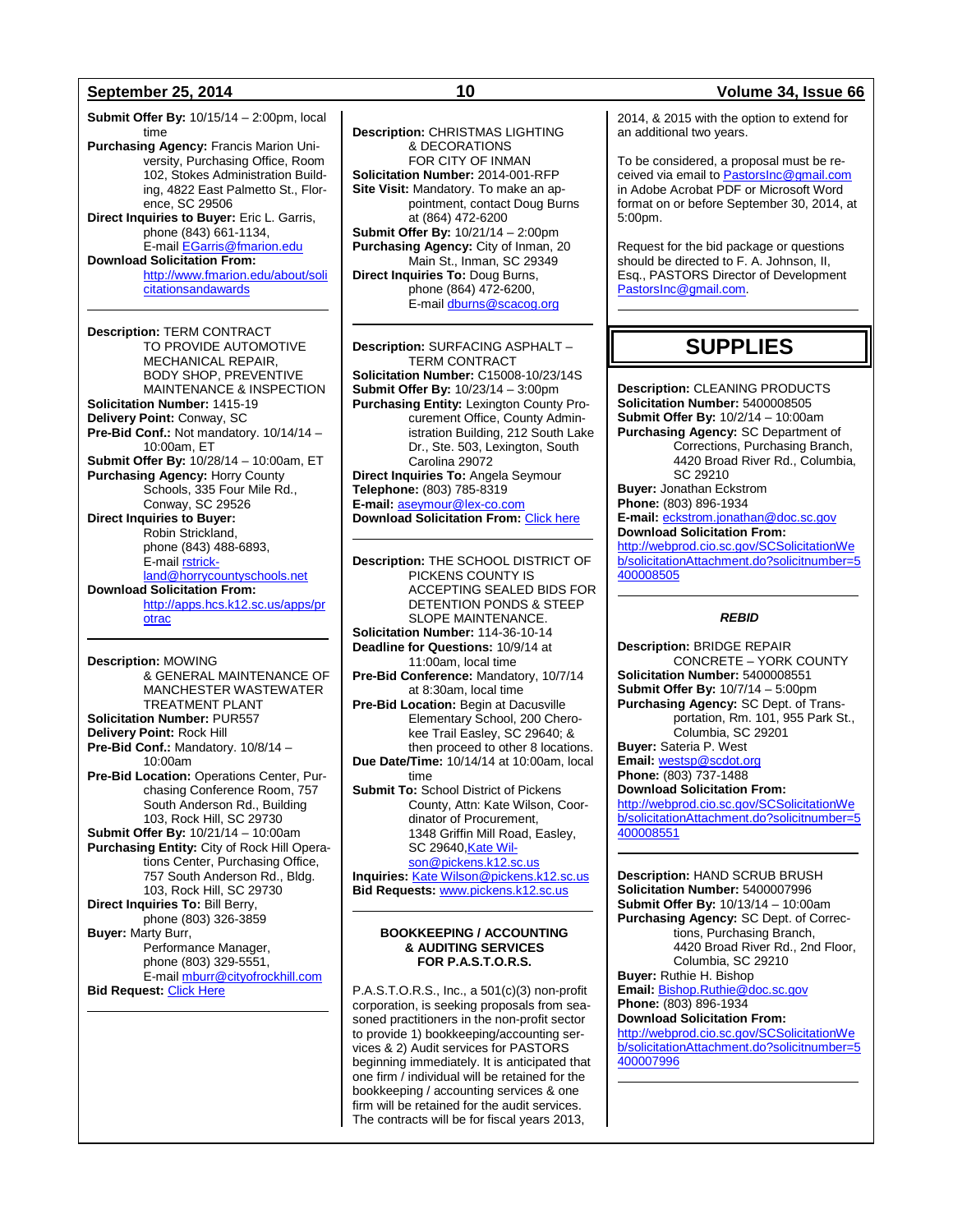**Submit Offer By:** 10/15/14 – 2:00pm, local time **Purchasing Agency:** Francis Marion University, Purchasing Office, Room 102, Stokes Administration Building, 4822 East Palmetto St., Florence, SC 29506 **Direct Inquiries to Buyer:** Eric L. Garris, phone (843) 661-1134, E-mail [EGarris@fmarion.edu](mailto:EGarris@fmarion.edu) **Download Solicitation From:** [http://www.fmarion.edu/about/soli](http://www.fmarion.edu/about/solicitationsandawards) [citationsandawards](http://www.fmarion.edu/about/solicitationsandawards)

**Description:** TERM CONTRACT TO PROVIDE AUTOMOTIVE MECHANICAL REPAIR, BODY SHOP, PREVENTIVE MAINTENANCE & INSPECTION **Solicitation Number:** 1415-19 **Delivery Point:** Conway, SC **Pre-Bid Conf.:** Not mandatory. 10/14/14 – 10:00am, ET **Submit Offer By:** 10/28/14 – 10:00am, ET **Purchasing Agency:** Horry County Schools, 335 Four Mile Rd., Conway, SC 29526 **Direct Inquiries to Buyer:** Robin Strickland, phone (843) 488-6893, E-mail **rstrick**[land@horrycountyschools.net](mailto:rstrickland@horrycountyschools.net) **Download Solicitation From:** [http://apps.hcs.k12.sc.us/apps/pr](http://apps.hcs.k12.sc.us/apps/protrac) [otrac](http://apps.hcs.k12.sc.us/apps/protrac)

**Description:** MOWING & GENERAL MAINTENANCE OF MANCHESTER WASTEWATER TREATMENT PLANT **Solicitation Number:** PUR557 **Delivery Point:** Rock Hill **Pre-Bid Conf.:** Mandatory. 10/8/14 – 10:00am **Pre-Bid Location:** Operations Center, Purchasing Conference Room, 757 South Anderson Rd., Building 103, Rock Hill, SC 29730 **Submit Offer By:** 10/21/14 – 10:00am **Purchasing Entity:** City of Rock Hill Operations Center, Purchasing Office, 757 South Anderson Rd., Bldg. 103, Rock Hill, SC 29730 **Direct Inquiries To:** Bill Berry, phone (803) 326-3859 **Buyer:** Marty Burr, Performance Manager, phone (803) 329-5551, E-mail [mburr@cityofrockhill.com](mailto:mburr@cityofrockhill.com) **Bid Request:** [Click Here](http://cityofrockhill.com/departments/general-government/purchasing/bids-proposal-requests)

**Description:** CHRISTMAS LIGHTING & DECORATIONS FOR CITY OF INMAN **Solicitation Number:** 2014-001-RFP **Site Visit:** Mandatory. To make an appointment, contact Doug Burns at (864) 472-6200 **Submit Offer By:** 10/21/14 – 2:00pm **Purchasing Agency:** City of Inman, 20 Main St., Inman, SC 29349 **Direct Inquiries To:** Doug Burns, phone (864) 472-6200, E-mai[l dburns@scacog.org](mailto:dburns@scacog.org)

**Description:** SURFACING ASPHALT – TERM CONTRACT **Solicitation Number:** C15008-10/23/14S **Submit Offer By:** 10/23/14 – 3:00pm **Purchasing Entity:** Lexington County Procurement Office, County Administration Building, 212 South Lake Dr., Ste. 503, Lexington, South Carolina 29072 **Direct Inquiries To:** Angela Seymour **Telephone:** (803) 785-8319 **E-mail:** [aseymour@lex-co.com](mailto:aseymour@lex-co.com) **Download Solicitation From:** [Click here](http://www.lex-co.sc.gov/departments/DeptIQ/procurement/Pages/BidOpportunities.aspx)

**Description:** THE SCHOOL DISTRICT OF PICKENS COUNTY IS ACCEPTING SEALED BIDS FOR DETENTION PONDS & STEEP SLOPE MAINTENANCE. **Solicitation Number:** 114-36-10-14 **Deadline for Questions:** 10/9/14 at 11:00am, local time **Pre-Bid Conference:** Mandatory, 10/7/14 at 8:30am, local time **Pre-Bid Location:** Begin at Dacusville Elementary School, 200 Cherokee Trail Easley, SC 29640; & then proceed to other 8 locations. **Due Date/Time:** 10/14/14 at 10:00am, local time **Submit To:** School District of Pickens County, Attn: Kate Wilson, Coordinator of Procurement, 1348 Griffin Mill Road, Easley, SC 29640, Kate Wil[son@pickens.k12.sc.us](mailto:Kate%20Wilson@pickens.k12.sc.us) **Inquiries:** [Kate Wilson@pickens.k12.sc.us](mailto:Kate%20Wilson@pickens.k12.sc.us) **Bid Requests:** [www.pickens.k12.sc.us](http://www.pickens.k12.sc.us/)

#### **BOOKKEEPING / ACCOUNTING & AUDITING SERVICES FOR P.A.S.T.O.R.S.**

P.A.S.T.O.R.S., Inc., a 501(c)(3) non-profit corporation, is seeking proposals from seasoned practitioners in the non-profit sector to provide 1) bookkeeping/accounting services & 2) Audit services for PASTORS beginning immediately. It is anticipated that one firm / individual will be retained for the bookkeeping / accounting services & one firm will be retained for the audit services. The contracts will be for fiscal years 2013,

### **September 25, 2014 10 Volume 34, Issue 66**

2014, & 2015 with the option to extend for an additional two years.

To be considered, a proposal must be received via email to [PastorsInc@gmail.com](mailto:PastorsInc@gmail.com) in Adobe Acrobat PDF or Microsoft Word format on or before September 30, 2014, at 5:00pm.

Request for the bid package or questions should be directed to F. A. Johnson, II, Esq., PASTORS Director of Development [PastorsInc@gmail.com.](mailto:PastorsInc@gmail.com)

## **SUPPLIES**

**Description:** CLEANING PRODUCTS **Solicitation Number:** 5400008505 **Submit Offer By:** 10/2/14 – 10:00am **Purchasing Agency:** SC Department of Corrections, Purchasing Branch, 4420 Broad River Rd., Columbia, SC 29210 **Buyer:** Jonathan Eckstrom **Phone:** (803) 896-1934 **E-mail:** [eckstrom.jonathan@doc.sc.gov](mailto:eckstrom.jonathan@doc.sc.gov) **Download Solicitation From:** [http://webprod.cio.sc.gov/SCSolicitationWe](http://webprod.cio.sc.gov/SCSolicitationWeb/solicitationAttachment.do?solicitnumber=5400008505) [b/solicitationAttachment.do?solicitnumber=5](http://webprod.cio.sc.gov/SCSolicitationWeb/solicitationAttachment.do?solicitnumber=5400008505) [400008505](http://webprod.cio.sc.gov/SCSolicitationWeb/solicitationAttachment.do?solicitnumber=5400008505)

#### *REBID*

**Description:** BRIDGE REPAIR CONCRETE – YORK COUNTY **Solicitation Number:** 5400008551 **Submit Offer By:** 10/7/14 – 5:00pm **Purchasing Agency:** SC Dept. of Transportation, Rm. 101, 955 Park St., Columbia, SC 29201 **Buyer:** Sateria P. West **Email:** [westsp@scdot.org](mailto:westsp@scdot.org) **Phone:** (803) 737-1488

**Download Solicitation From:**

[http://webprod.cio.sc.gov/SCSolicitationWe](http://webprod.cio.sc.gov/SCSolicitationWeb/solicitationAttachment.do?solicitnumber=5400008551) [b/solicitationAttachment.do?solicitnumber=5](http://webprod.cio.sc.gov/SCSolicitationWeb/solicitationAttachment.do?solicitnumber=5400008551) [400008551](http://webprod.cio.sc.gov/SCSolicitationWeb/solicitationAttachment.do?solicitnumber=5400008551)

**Description:** HAND SCRUB BRUSH **Solicitation Number:** 5400007996 **Submit Offer By:** 10/13/14 – 10:00am **Purchasing Agency:** SC Dept. of Corrections, Purchasing Branch, 4420 Broad River Rd., 2nd Floor, Columbia, SC 29210

**Buyer:** Ruthie H. Bishop **Email:** [Bishop.Ruthie@doc.sc.gov](mailto:Bishop.Ruthie@doc.sc.gov) **Phone:** (803) 896-1934

**Download Solicitation From:** [http://webprod.cio.sc.gov/SCSolicitationWe](http://webprod.cio.sc.gov/SCSolicitationWeb/solicitationAttachment.do?solicitnumber=5400007996) [b/solicitationAttachment.do?solicitnumber=5](http://webprod.cio.sc.gov/SCSolicitationWeb/solicitationAttachment.do?solicitnumber=5400007996)

[400007996](http://webprod.cio.sc.gov/SCSolicitationWeb/solicitationAttachment.do?solicitnumber=5400007996)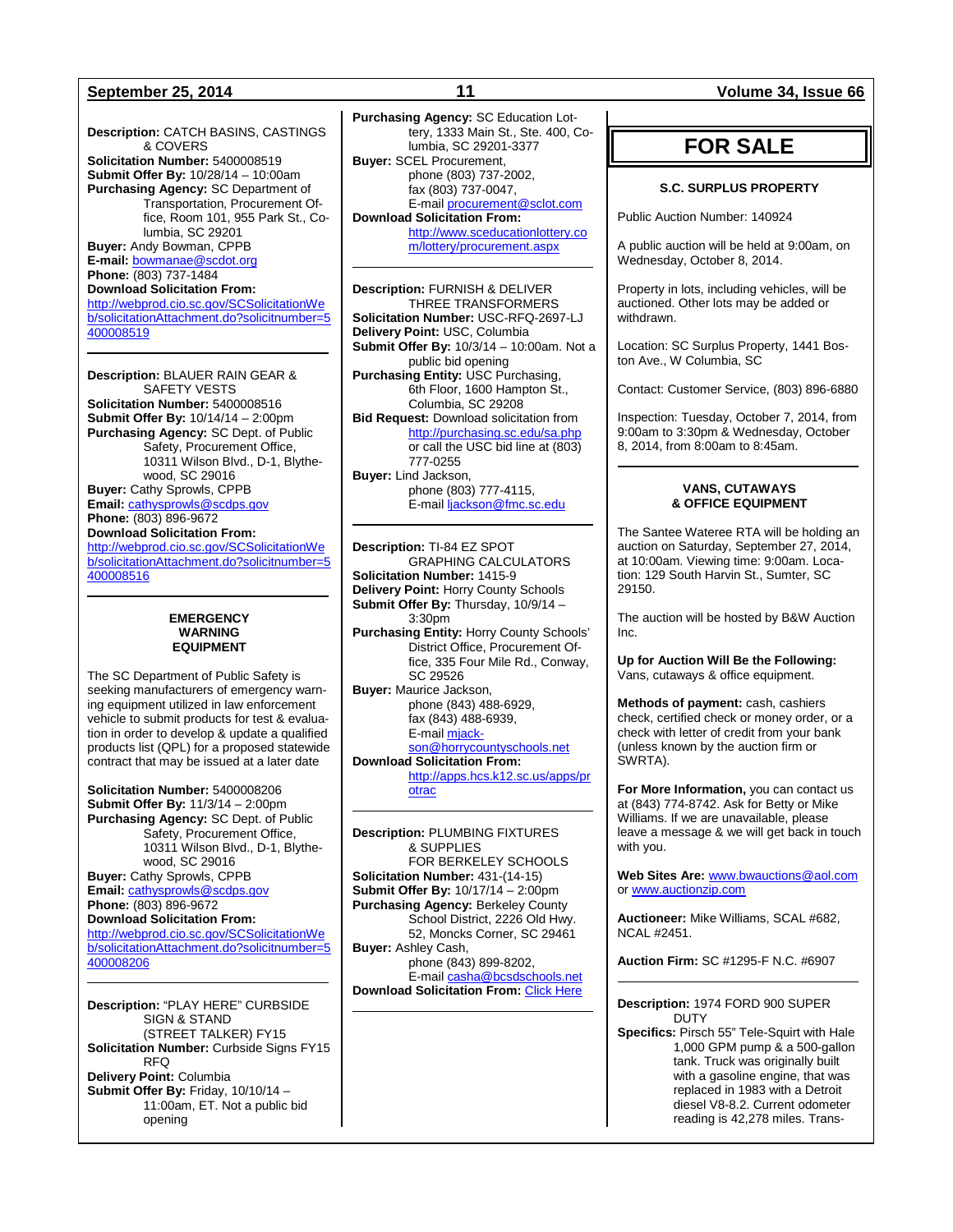**Description:** CATCH BASINS, CASTINGS & COVERS **Solicitation Number:** 5400008519 **Submit Offer By:** 10/28/14 – 10:00am **Purchasing Agency:** SC Department of Transportation, Procurement Office, Room 101, 955 Park St., Columbia, SC 29201 **Buyer:** Andy Bowman, CPPB **E-mail:** [bowmanae@scdot.org](mailto:bowmanae@scdot.org) **Phone:** (803) 737-1484 **Download Solicitation From:** [http://webprod.cio.sc.gov/SCSolicitationWe](http://webprod.cio.sc.gov/SCSolicitationWeb/solicitationAttachment.do?solicitnumber=5400008519) [b/solicitationAttachment.do?solicitnumber=5](http://webprod.cio.sc.gov/SCSolicitationWeb/solicitationAttachment.do?solicitnumber=5400008519) [400008519](http://webprod.cio.sc.gov/SCSolicitationWeb/solicitationAttachment.do?solicitnumber=5400008519)

**Description:** BLAUER RAIN GEAR & SAFETY VESTS **Solicitation Number:** 5400008516 **Submit Offer By:** 10/14/14 – 2:00pm **Purchasing Agency:** SC Dept. of Public Safety, Procurement Office, 10311 Wilson Blvd., D-1, Blythewood, SC 29016 **Buyer:** Cathy Sprowls, CPPB **Email:** [cathysprowls@scdps.gov](mailto:cathysprowls@scdps.gov) **Phone:** (803) 896-9672 **Download Solicitation From:** [http://webprod.cio.sc.gov/SCSolicitationWe](http://webprod.cio.sc.gov/SCSolicitationWeb/solicitationAttachment.do?solicitnumber=5400008516) [b/solicitationAttachment.do?solicitnumber=5](http://webprod.cio.sc.gov/SCSolicitationWeb/solicitationAttachment.do?solicitnumber=5400008516) [400008516](http://webprod.cio.sc.gov/SCSolicitationWeb/solicitationAttachment.do?solicitnumber=5400008516)

#### **EMERGENCY WARNING EQUIPMENT**

The SC Department of Public Safety is seeking manufacturers of emergency warning equipment utilized in law enforcement vehicle to submit products for test & evaluation in order to develop & update a qualified products list (QPL) for a proposed statewide contract that may be issued at a later date

**Solicitation Number:** 5400008206 **Submit Offer By:** 11/3/14 – 2:00pm **Purchasing Agency:** SC Dept. of Public Safety, Procurement Office, 10311 Wilson Blvd., D-1, Blythewood, SC 29016 **Buyer:** Cathy Sprowls, CPPB

**Email:** [cathysprowls@scdps.gov](mailto:cathysprowls@scdps.gov) **Phone:** (803) 896-9672 **Download Solicitation From:**

[http://webprod.cio.sc.gov/SCSolicitationWe](http://webprod.cio.sc.gov/SCSolicitationWeb/solicitationAttachment.do?solicitnumber=5400008206) [b/solicitationAttachment.do?solicitnumber=5](http://webprod.cio.sc.gov/SCSolicitationWeb/solicitationAttachment.do?solicitnumber=5400008206) [400008206](http://webprod.cio.sc.gov/SCSolicitationWeb/solicitationAttachment.do?solicitnumber=5400008206)

**Description:** "PLAY HERE" CURBSIDE SIGN & STAND (STREET TALKER) FY15 **Solicitation Number:** Curbside Signs FY15 RFQ **Delivery Point:** Columbia **Submit Offer By:** Friday, 10/10/14 – 11:00am, ET. Not a public bid opening

**Purchasing Agency:** SC Education Lottery, 1333 Main St., Ste. 400, Columbia, SC 29201-3377 **Buyer:** SCEL Procurement, phone (803) 737-2002, fax (803) 737-0047, E-mai[l procurement@sclot.com](mailto:procurement@sclot.com) **Download Solicitation From:** [http://www.sceducationlottery.co](http://www.sceducationlottery.com/lottery/procurement.aspx) [m/lottery/procurement.aspx](http://www.sceducationlottery.com/lottery/procurement.aspx)

**Description:** FURNISH & DELIVER THREE TRANSFORMERS **Solicitation Number:** USC-RFQ-2697-LJ **Delivery Point:** USC, Columbia **Submit Offer By:** 10/3/14 – 10:00am. Not a public bid opening **Purchasing Entity:** USC Purchasing, 6th Floor, 1600 Hampton St., Columbia, SC 29208 **Bid Request:** Download solicitation from <http://purchasing.sc.edu/sa.php> or call the USC bid line at (803) 777-0255 **Buyer:** Lind Jackson, phone (803) 777-4115, E-mai[l ljackson@fmc.sc.edu](mailto:ljackson@fmc.sc.edu)

**Description:** TI-84 EZ SPOT GRAPHING CALCULATORS **Solicitation Number:** 1415-9 **Delivery Point:** Horry County Schools **Submit Offer By:** Thursday, 10/9/14 – 3:30pm **Purchasing Entity:** Horry County Schools' District Office, Procurement Office, 335 Four Mile Rd., Conway, SC 29526 **Buyer:** Maurice Jackson, phone (843) 488-6929, fax (843) 488-6939, E-mai[l mjack](mailto:mjackson@horrycountyschools.net)[son@horrycountyschools.net](mailto:mjackson@horrycountyschools.net) **Download Solicitation From:**  [http://apps.hcs.k12.sc.us/apps/pr](http://apps.hcs.k12.sc.us/apps/protrac) [otrac](http://apps.hcs.k12.sc.us/apps/protrac)

**Description:** PLUMBING FIXTURES & SUPPLIES FOR BERKELEY SCHOOLS **Solicitation Number:** 431-(14-15) **Submit Offer By:** 10/17/14 – 2:00pm **Purchasing Agency:** Berkeley County School District, 2226 Old Hwy. 52, Moncks Corner, SC 29461 **Buyer:** Ashley Cash, phone (843) 899-8202, E-mai[l casha@bcsdschools.net](mailto:casha@bcsdschools.net) **Download Solicitation From:** [Click Here](http://www.berkeley.k12.sc.us/departments.cfm?subpage=54016)

#### **September 25, 2014 11 Volume 34, Issue 66**

## **FOR SALE**

#### **S.C. SURPLUS PROPERTY**

Public Auction Number: 140924

A public auction will be held at 9:00am, on Wednesday, October 8, 2014.

Property in lots, including vehicles, will be auctioned. Other lots may be added or withdrawn.

Location: SC Surplus Property, 1441 Boston Ave., W Columbia, SC

Contact: Customer Service, (803) 896-6880

Inspection: Tuesday, October 7, 2014, from 9:00am to 3:30pm & Wednesday, October 8, 2014, from 8:00am to 8:45am.

### **VANS, CUTAWAYS & OFFICE EQUIPMENT**

The Santee Wateree RTA will be holding an auction on Saturday, September 27, 2014, at 10:00am. Viewing time: 9:00am. Location: 129 South Harvin St., Sumter, SC 29150.

The auction will be hosted by B&W Auction Inc.

**Up for Auction Will Be the Following:** Vans, cutaways & office equipment.

**Methods of payment:** cash, cashiers check, certified check or money order, or a check with letter of credit from your bank (unless known by the auction firm or SWRTA).

**For More Information,** you can contact us at (843) 774-8742. Ask for Betty or Mike Williams. If we are unavailable, please leave a message & we will get back in touch with you.

**Web Sites Are:** [www.bwauctions@aol.com](http://www.bwauctions@aol.com/) or [www.auctionzip.com](http://www.auctionzip.com/)

**Auctioneer:** Mike Williams, SCAL #682, NCAL #2451.

**Auction Firm:** SC #1295-F N.C. #6907

#### **Description:** 1974 FORD 900 SUPER DUTY

**Specifics:** Pirsch 55" Tele-Squirt with Hale 1,000 GPM pump & a 500-gallon tank. Truck was originally built with a gasoline engine, that was replaced in 1983 with a Detroit diesel V8-8.2. Current odometer reading is 42,278 miles. Trans-